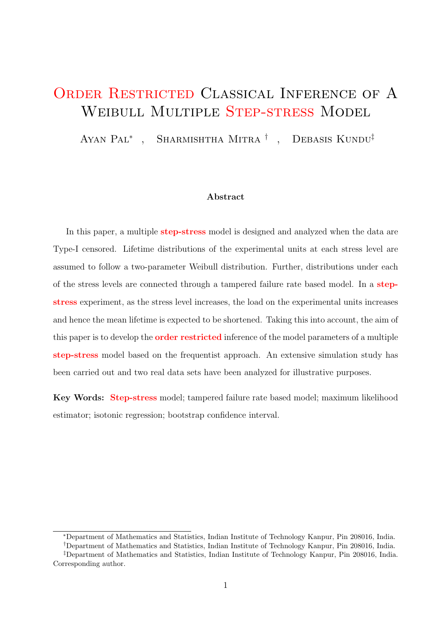# ORDER RESTRICTED CLASSICAL INFERENCE OF A WEIBULL MULTIPLE STEP-STRESS MODEL

Ayan Pal<sup>∗</sup>, Sharmishtha Mitra<sup>†</sup>, Debasis Kundu<sup>‡</sup>

#### Abstract

In this paper, a multiple **step-stress** model is designed and analyzed when the data are Type-I censored. Lifetime distributions of the experimental units at each stress level are assumed to follow a two-parameter Weibull distribution. Further, distributions under each of the stress levels are connected through a tampered failure rate based model. In a stepstress experiment, as the stress level increases, the load on the experimental units increases and hence the mean lifetime is expected to be shortened. Taking this into account, the aim of this paper is to develop the **order restricted** inference of the model parameters of a multiple step-stress model based on the frequentist approach. An extensive simulation study has been carried out and two real data sets have been analyzed for illustrative purposes.

Key Words: Step-stress model; tampered failure rate based model; maximum likelihood estimator; isotonic regression; bootstrap confidence interval.

<sup>∗</sup>Department of Mathematics and Statistics, Indian Institute of Technology Kanpur, Pin 208016, India.

<sup>†</sup>Department of Mathematics and Statistics, Indian Institute of Technology Kanpur, Pin 208016, India.

<sup>‡</sup>Department of Mathematics and Statistics, Indian Institute of Technology Kanpur, Pin 208016, India. Corresponding author.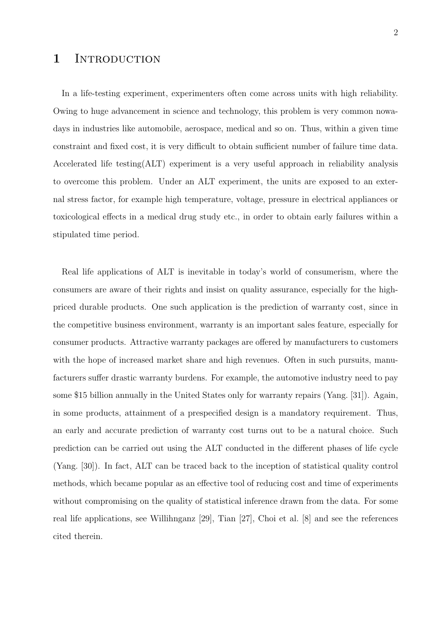## 1 INTRODUCTION

In a life-testing experiment, experimenters often come across units with high reliability. Owing to huge advancement in science and technology, this problem is very common nowadays in industries like automobile, aerospace, medical and so on. Thus, within a given time constraint and fixed cost, it is very difficult to obtain sufficient number of failure time data. Accelerated life testing(ALT) experiment is a very useful approach in reliability analysis to overcome this problem. Under an ALT experiment, the units are exposed to an external stress factor, for example high temperature, voltage, pressure in electrical appliances or toxicological effects in a medical drug study etc., in order to obtain early failures within a stipulated time period.

Real life applications of ALT is inevitable in today's world of consumerism, where the consumers are aware of their rights and insist on quality assurance, especially for the highpriced durable products. One such application is the prediction of warranty cost, since in the competitive business environment, warranty is an important sales feature, especially for consumer products. Attractive warranty packages are offered by manufacturers to customers with the hope of increased market share and high revenues. Often in such pursuits, manufacturers suffer drastic warranty burdens. For example, the automotive industry need to pay some \$15 billion annually in the United States only for warranty repairs (Yang. [31]). Again, in some products, attainment of a prespecified design is a mandatory requirement. Thus, an early and accurate prediction of warranty cost turns out to be a natural choice. Such prediction can be carried out using the ALT conducted in the different phases of life cycle (Yang. [30]). In fact, ALT can be traced back to the inception of statistical quality control methods, which became popular as an effective tool of reducing cost and time of experiments without compromising on the quality of statistical inference drawn from the data. For some real life applications, see Willihnganz [29], Tian [27], Choi et al. [8] and see the references cited therein.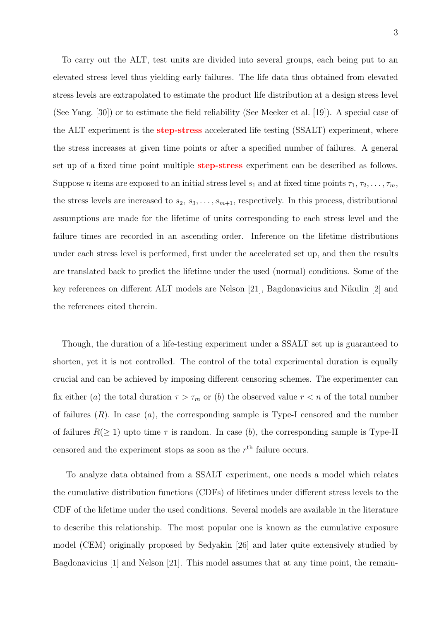To carry out the ALT, test units are divided into several groups, each being put to an elevated stress level thus yielding early failures. The life data thus obtained from elevated stress levels are extrapolated to estimate the product life distribution at a design stress level (See Yang. [30]) or to estimate the field reliability (See Meeker et al. [19]). A special case of the ALT experiment is the **step-stress** accelerated life testing (SSALT) experiment, where the stress increases at given time points or after a specified number of failures. A general set up of a fixed time point multiple step-stress experiment can be described as follows. Suppose *n* items are exposed to an initial stress level  $s_1$  and at fixed time points  $\tau_1, \tau_2, \ldots, \tau_m$ , the stress levels are increased to  $s_2, s_3, \ldots, s_{m+1}$ , respectively. In this process, distributional assumptions are made for the lifetime of units corresponding to each stress level and the failure times are recorded in an ascending order. Inference on the lifetime distributions under each stress level is performed, first under the accelerated set up, and then the results are translated back to predict the lifetime under the used (normal) conditions. Some of the key references on different ALT models are Nelson [21], Bagdonavicius and Nikulin [2] and the references cited therein.

Though, the duration of a life-testing experiment under a SSALT set up is guaranteed to shorten, yet it is not controlled. The control of the total experimental duration is equally crucial and can be achieved by imposing different censoring schemes. The experimenter can fix either (a) the total duration  $\tau > \tau_m$  or (b) the observed value  $r < n$  of the total number of failures  $(R)$ . In case  $(a)$ , the corresponding sample is Type-I censored and the number of failures  $R(\geq 1)$  upto time  $\tau$  is random. In case (b), the corresponding sample is Type-II censored and the experiment stops as soon as the  $r<sup>th</sup>$  failure occurs.

To analyze data obtained from a SSALT experiment, one needs a model which relates the cumulative distribution functions (CDFs) of lifetimes under different stress levels to the CDF of the lifetime under the used conditions. Several models are available in the literature to describe this relationship. The most popular one is known as the cumulative exposure model (CEM) originally proposed by Sedyakin [26] and later quite extensively studied by Bagdonavicius [1] and Nelson [21]. This model assumes that at any time point, the remain-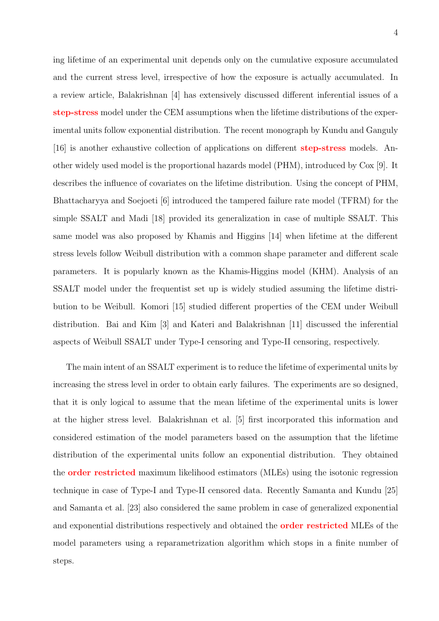4

ing lifetime of an experimental unit depends only on the cumulative exposure accumulated and the current stress level, irrespective of how the exposure is actually accumulated. In a review article, Balakrishnan [4] has extensively discussed different inferential issues of a step-stress model under the CEM assumptions when the lifetime distributions of the experimental units follow exponential distribution. The recent monograph by Kundu and Ganguly [16] is another exhaustive collection of applications on different step-stress models. Another widely used model is the proportional hazards model (PHM), introduced by Cox [9]. It describes the influence of covariates on the lifetime distribution. Using the concept of PHM, Bhattacharyya and Soejoeti [6] introduced the tampered failure rate model (TFRM) for the simple SSALT and Madi [18] provided its generalization in case of multiple SSALT. This same model was also proposed by Khamis and Higgins [14] when lifetime at the different stress levels follow Weibull distribution with a common shape parameter and different scale parameters. It is popularly known as the Khamis-Higgins model (KHM). Analysis of an SSALT model under the frequentist set up is widely studied assuming the lifetime distribution to be Weibull. Komori [15] studied different properties of the CEM under Weibull distribution. Bai and Kim [3] and Kateri and Balakrishnan [11] discussed the inferential aspects of Weibull SSALT under Type-I censoring and Type-II censoring, respectively.

The main intent of an SSALT experiment is to reduce the lifetime of experimental units by increasing the stress level in order to obtain early failures. The experiments are so designed, that it is only logical to assume that the mean lifetime of the experimental units is lower at the higher stress level. Balakrishnan et al. [5] first incorporated this information and considered estimation of the model parameters based on the assumption that the lifetime distribution of the experimental units follow an exponential distribution. They obtained the order restricted maximum likelihood estimators (MLEs) using the isotonic regression technique in case of Type-I and Type-II censored data. Recently Samanta and Kundu [25] and Samanta et al. [23] also considered the same problem in case of generalized exponential and exponential distributions respectively and obtained the order restricted MLEs of the model parameters using a reparametrization algorithm which stops in a finite number of steps.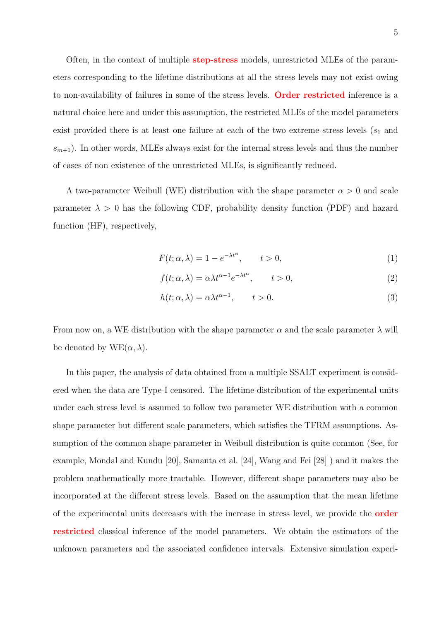Often, in the context of multiple step-stress models, unrestricted MLEs of the parameters corresponding to the lifetime distributions at all the stress levels may not exist owing to non-availability of failures in some of the stress levels. Order restricted inference is a natural choice here and under this assumption, the restricted MLEs of the model parameters exist provided there is at least one failure at each of the two extreme stress levels  $(s_1$  and  $s_{m+1}$ ). In other words, MLEs always exist for the internal stress levels and thus the number of cases of non existence of the unrestricted MLEs, is significantly reduced.

A two-parameter Weibull (WE) distribution with the shape parameter  $\alpha > 0$  and scale parameter  $\lambda > 0$  has the following CDF, probability density function (PDF) and hazard function (HF), respectively,

$$
F(t; \alpha, \lambda) = 1 - e^{-\lambda t^{\alpha}}, \qquad t > 0,
$$
\n<sup>(1)</sup>

$$
f(t; \alpha, \lambda) = \alpha \lambda t^{\alpha - 1} e^{-\lambda t^{\alpha}}, \qquad t > 0,
$$
\n<sup>(2)</sup>

$$
h(t; \alpha, \lambda) = \alpha \lambda t^{\alpha - 1}, \qquad t > 0.
$$
\n
$$
(3)
$$

From now on, a WE distribution with the shape parameter  $\alpha$  and the scale parameter  $\lambda$  will be denoted by  $WE(\alpha, \lambda)$ .

In this paper, the analysis of data obtained from a multiple SSALT experiment is considered when the data are Type-I censored. The lifetime distribution of the experimental units under each stress level is assumed to follow two parameter WE distribution with a common shape parameter but different scale parameters, which satisfies the TFRM assumptions. Assumption of the common shape parameter in Weibull distribution is quite common (See, for example, Mondal and Kundu [20], Samanta et al. [24], Wang and Fei [28] ) and it makes the problem mathematically more tractable. However, different shape parameters may also be incorporated at the different stress levels. Based on the assumption that the mean lifetime of the experimental units decreases with the increase in stress level, we provide the order restricted classical inference of the model parameters. We obtain the estimators of the unknown parameters and the associated confidence intervals. Extensive simulation experi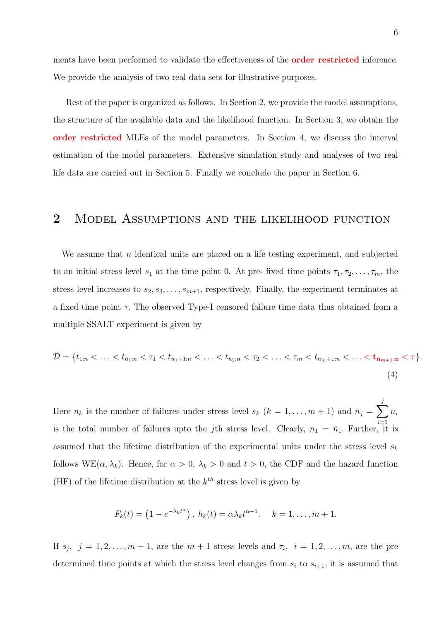ments have been performed to validate the effectiveness of the order restricted inference. We provide the analysis of two real data sets for illustrative purposes.

Rest of the paper is organized as follows. In Section 2, we provide the model assumptions, the structure of the available data and the likelihood function. In Section 3, we obtain the order restricted MLEs of the model parameters. In Section 4, we discuss the interval estimation of the model parameters. Extensive simulation study and analyses of two real life data are carried out in Section 5. Finally we conclude the paper in Section 6.

# 2 Model Assumptions and the likelihood function

We assume that  $n$  identical units are placed on a life testing experiment, and subjected to an initial stress level  $s_1$  at the time point 0. At pre- fixed time points  $\tau_1, \tau_2, \ldots, \tau_m$ , the stress level increases to  $s_2, s_3, \ldots, s_{m+1}$ , respectively. Finally, the experiment terminates at a fixed time point  $\tau$ . The observed Type-I censored failure time data thus obtained from a multiple SSALT experiment is given by

$$
\mathcal{D} = \{t_{1:n} < \ldots < t_{\bar{n}_1:n} < \tau_1 < t_{\bar{n}_1+1:n} < \ldots < t_{\bar{n}_2:n} < \tau_2 < \ldots < \tau_m < t_{\bar{n}_m+1:n} < \ldots < t_{\bar{n}_{m+1}:n} < \tau\}.\tag{4}
$$

Here  $n_k$  is the number of failures under stress level  $s_k$   $(k = 1, \ldots, m + 1)$  and  $\bar{n}_j = \sum$ j  $i=1$  $n_i$ is the total number of failures upto the jth stress level. Clearly,  $n_1 = \bar{n}_1$ . Further, it is assumed that the lifetime distribution of the experimental units under the stress level  $s_k$ follows WE( $\alpha, \lambda_k$ ). Hence, for  $\alpha > 0$ ,  $\lambda_k > 0$  and  $t > 0$ , the CDF and the hazard function (HF) of the lifetime distribution at the  $k<sup>th</sup>$  stress level is given by

$$
F_k(t) = \left(1 - e^{-\lambda_k t^{\alpha}}\right), h_k(t) = \alpha \lambda_k t^{\alpha - 1}. \quad k = 1, \ldots, m + 1.
$$

If  $s_j$ ,  $j = 1, 2, \ldots, m + 1$ , are the  $m + 1$  stress levels and  $\tau_i$ ,  $i = 1, 2, \ldots, m$ , are the pre determined time points at which the stress level changes from  $s_i$  to  $s_{i+1}$ , it is assumed that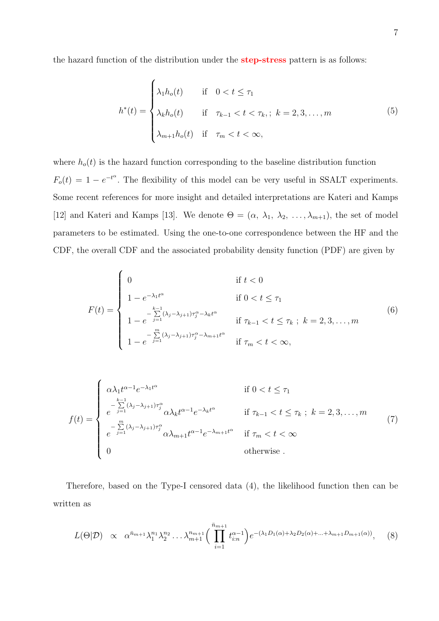the hazard function of the distribution under the step-stress pattern is as follows:

$$
h^*(t) = \begin{cases} \lambda_1 h_o(t) & \text{if } 0 < t \le \tau_1 \\ \lambda_k h_o(t) & \text{if } \tau_{k-1} < t < \tau_k, \\ \lambda_{m+1} h_o(t) & \text{if } \tau_m < t < \infty, \end{cases} \tag{5}
$$

where  $h_o(t)$  is the hazard function corresponding to the baseline distribution function  $F_o(t) = 1 - e^{-t^{\alpha}}$ . The flexibility of this model can be very useful in SSALT experiments. Some recent references for more insight and detailed interpretations are Kateri and Kamps [12] and Kateri and Kamps [13]. We denote  $\Theta = (\alpha, \lambda_1, \lambda_2, \ldots, \lambda_{m+1})$ , the set of model parameters to be estimated. Using the one-to-one correspondence between the HF and the CDF, the overall CDF and the associated probability density function (PDF) are given by

$$
F(t) = \begin{cases} 0 & \text{if } t < 0 \\ 1 - e^{-\lambda_1 t^{\alpha}} & \text{if } 0 < t \le \tau_1 \\ 1 - e^{-\sum\limits_{j=1}^{k-1} (\lambda_j - \lambda_{j+1}) \tau_j^{\alpha} - \lambda_k t^{\alpha}} & \text{if } \tau_{k-1} < t \le \tau_k \; ; \; k = 2, 3, \dots, m \\ 1 - e^{-\sum\limits_{j=1}^{m} (\lambda_j - \lambda_{j+1}) \tau_j^{\alpha} - \lambda_{m+1} t^{\alpha}} & \text{if } \tau_m < t < \infty, \end{cases}
$$
(6)

$$
f(t) = \begin{cases} \alpha \lambda_1 t^{\alpha - 1} e^{-\lambda_1 t^{\alpha}} & \text{if } 0 < t \le \tau_1 \\ \frac{-\sum\limits_{j=1}^{k-1} (\lambda_j - \lambda_{j+1}) \tau_j^{\alpha}}{e^{-\sum\limits_{j=1}^{m} (\lambda_j - \lambda_{j+1}) \tau_j^{\alpha}} \alpha \lambda_k t^{\alpha - 1} e^{-\lambda_k t^{\alpha}}} & \text{if } \tau_{k-1} < t \le \tau_k \text{ ; } k = 2, 3, \dots, m \\ \frac{-\sum\limits_{j=1}^{m} (\lambda_j - \lambda_{j+1}) \tau_j^{\alpha}}{e^{-\sum\limits_{j=1}^{m} (\lambda_j - \lambda_{j+1}) \tau_j^{\alpha}} \alpha \lambda_{m+1} t^{\alpha - 1} e^{-\lambda_{m+1} t^{\alpha}}} & \text{if } \tau_m < t < \infty \\ 0 & \text{otherwise.} \end{cases} \tag{7}
$$

Therefore, based on the Type-I censored data (4), the likelihood function then can be written as

$$
L(\Theta|\mathcal{D}) \propto \alpha^{\bar{n}_{m+1}} \lambda_1^{n_1} \lambda_2^{n_2} \dots \lambda_{m+1}^{n_{m+1}} \bigg( \prod_{i=1}^{\bar{n}_{m+1}} t_{i:n}^{\alpha-1} \bigg) e^{-(\lambda_1 D_1(\alpha) + \lambda_2 D_2(\alpha) + \dots + \lambda_{m+1} D_{m+1}(\alpha))}, \quad (8)
$$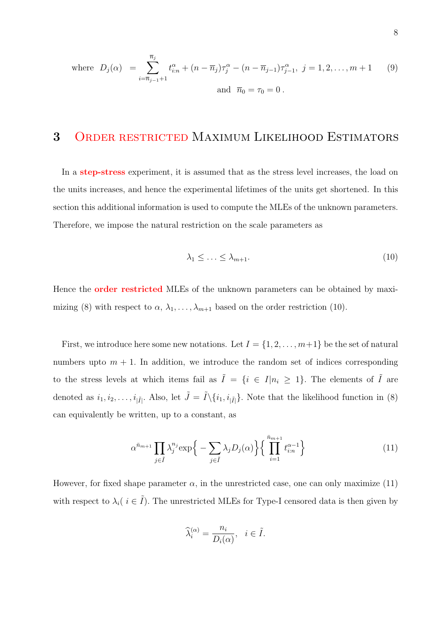where 
$$
D_j(\alpha) = \sum_{i=\overline{n}_{j-1}+1}^{\overline{n}_j} t_{i:n}^{\alpha} + (n - \overline{n}_j) \tau_j^{\alpha} - (n - \overline{n}_{j-1}) \tau_{j-1}^{\alpha}, j = 1, 2, ..., m + 1
$$
 (9)  
and  $\overline{n}_0 = \tau_0 = 0$ .

# 3 Order restricted Maximum Likelihood Estimators

In a **step-stress** experiment, it is assumed that as the stress level increases, the load on the units increases, and hence the experimental lifetimes of the units get shortened. In this section this additional information is used to compute the MLEs of the unknown parameters. Therefore, we impose the natural restriction on the scale parameters as

$$
\lambda_1 \leq \ldots \leq \lambda_{m+1}.\tag{10}
$$

Hence the **order restricted** MLEs of the unknown parameters can be obtained by maximizing (8) with respect to  $\alpha$ ,  $\lambda_1, \ldots, \lambda_{m+1}$  based on the order restriction (10).

First, we introduce here some new notations. Let  $I = \{1, 2, \ldots, m+1\}$  be the set of natural numbers upto  $m + 1$ . In addition, we introduce the random set of indices corresponding to the stress levels at which items fail as  $\tilde{I} = \{i \in I | n_i \geq 1\}$ . The elements of  $\tilde{I}$  are denoted as  $i_1, i_2, \ldots, i_{|\tilde{I}|}$ . Also, let  $\tilde{J} = \tilde{I} \setminus \{i_1, i_{|\tilde{I}|}\}\.$  Note that the likelihood function in (8) can equivalently be written, up to a constant, as

$$
\alpha^{\bar{n}_{m+1}} \prod_{j \in \tilde{I}} \lambda_j^{n_j} \exp\Big\{-\sum_{j \in \tilde{I}} \lambda_j D_j(\alpha)\Big\} \Big\{ \prod_{i=1}^{\bar{n}_{m+1}} t_{i:n}^{\alpha-1} \Big\} \tag{11}
$$

However, for fixed shape parameter  $\alpha$ , in the unrestricted case, one can only maximize (11) with respect to  $\lambda_i$  ( $i \in \tilde{I}$ ). The unrestricted MLEs for Type-I censored data is then given by

$$
\widehat{\lambda}_i^{(\alpha)} = \frac{n_i}{D_i(\alpha)}, \quad i \in \widetilde{I}.
$$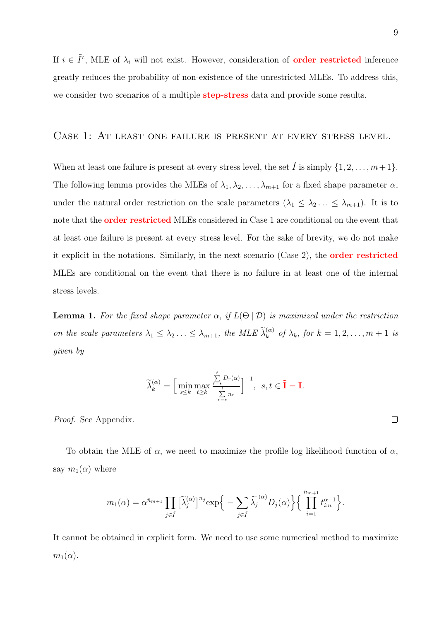If  $i \in \tilde{I}^c$ , MLE of  $\lambda_i$  will not exist. However, consideration of **order restricted** inference greatly reduces the probability of non-existence of the unrestricted MLEs. To address this, we consider two scenarios of a multiple **step-stress** data and provide some results.

#### Case 1: At least one failure is present at every stress level.

When at least one failure is present at every stress level, the set  $\tilde{I}$  is simply  $\{1, 2, \ldots, m+1\}$ . The following lemma provides the MLEs of  $\lambda_1, \lambda_2, \ldots, \lambda_{m+1}$  for a fixed shape parameter  $\alpha$ , under the natural order restriction on the scale parameters  $(\lambda_1 \leq \lambda_2 ... \leq \lambda_{m+1})$ . It is to note that the order restricted MLEs considered in Case 1 are conditional on the event that at least one failure is present at every stress level. For the sake of brevity, we do not make it explicit in the notations. Similarly, in the next scenario (Case 2), the order restricted MLEs are conditional on the event that there is no failure in at least one of the internal stress levels.

**Lemma 1.** For the fixed shape parameter  $\alpha$ , if  $L(\Theta | \mathcal{D})$  is maximized under the restriction on the scale parameters  $\lambda_1 \leq \lambda_2 ... \leq \lambda_{m+1}$ , the MLE  $\widetilde{\lambda}_k^{(\alpha)}$  of  $\lambda_k$ , for  $k = 1, 2, ..., m+1$  is given by

$$
\widetilde{\lambda}^{(\alpha)}_k = \Big[\min_{s\leq k}\max_{t\geq k}\frac{\sum\limits_{r=s}^t D_r(\alpha)}{\sum\limits_{r=s}^t n_r}\Big]^{-1},\ \, s,t\in\widetilde{\mathbf{I}}=\mathbf{I}.
$$

Proof. See Appendix.

To obtain the MLE of  $\alpha$ , we need to maximize the profile log likelihood function of  $\alpha$ , say  $m_1(\alpha)$  where

$$
m_1(\alpha) = \alpha^{\bar{n}_{m+1}} \prod_{j \in \tilde{I}} \left[ \tilde{\lambda}_j^{(\alpha)} \right]^{n_j} \exp\Big\{ - \sum_{j \in \tilde{I}} \tilde{\lambda}_j^{(\alpha)} D_j(\alpha) \Big\} \Big\{ \prod_{i=1}^{\bar{n}_{m+1}} t_{i:n}^{\alpha-1} \Big\}.
$$

It cannot be obtained in explicit form. We need to use some numerical method to maximize  $m_1(\alpha)$ .

 $\Box$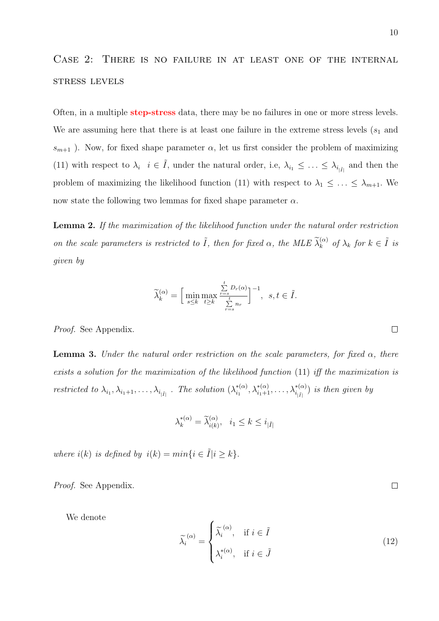# Case 2: There is no failure in at least one of the internal stress levels

Often, in a multiple **step-stress** data, there may be no failures in one or more stress levels. We are assuming here that there is at least one failure in the extreme stress levels  $(s_1$  and  $s_{m+1}$ ). Now, for fixed shape parameter  $\alpha$ , let us first consider the problem of maximizing (11) with respect to  $\lambda_i$   $i \in \tilde{I}$ , under the natural order, i.e,  $\lambda_{i_1} \leq \ldots \leq \lambda_{i_{|\tilde{I}|}}$  and then the problem of maximizing the likelihood function (11) with respect to  $\lambda_1 \leq \ldots \leq \lambda_{m+1}$ . We now state the following two lemmas for fixed shape parameter  $\alpha$ .

Lemma 2. If the maximization of the likelihood function under the natural order restriction on the scale parameters is restricted to  $\tilde{I}$ , then for fixed  $\alpha$ , the MLE  $\tilde{\lambda}_k^{(\alpha)}$  of  $\lambda_k$  for  $k \in \tilde{I}$  is given by

$$
\widetilde{\lambda}^{(\alpha)}_k = \Big[\min_{s\leq k}\max_{t\geq k}\frac{\sum\limits_{r=s}^t D_r(\alpha)}{\sum\limits_{r=s}^t n_r}\Big]^{-1},\;\;s,t\in \widetilde{I}.
$$

Proof. See Appendix.

**Lemma 3.** Under the natural order restriction on the scale parameters, for fixed  $\alpha$ , there exists a solution for the maximization of the likelihood function (11) iff the maximization is restricted to  $\lambda_{i_1}, \lambda_{i_1+1}, \ldots, \lambda_{i_{|\tilde{I}|}}$ . The solution  $(\lambda_{i_1}^{*(\alpha)})$  $\lambda_{i_1}^{*(\alpha)}, \lambda_{i_1+1}^{*(\alpha)}, \ldots, \lambda_{i_{|\tilde{I}|}}^{*(\alpha)})$  is then given by

$$
\lambda_k^{*(\alpha)} = \tilde{\lambda}_{i(k)}^{(\alpha)}, \quad i_1 \le k \le i_{|\tilde{I}|}
$$

where  $i(k)$  is defined by  $i(k) = min\{i \in \tilde{I} | i \geq k\}.$ 

Proof. See Appendix.

We denote

$$
\widetilde{\lambda_i}^{(\alpha)} = \begin{cases}\n\widetilde{\lambda_i}^{(\alpha)}, & \text{if } i \in \widetilde{I} \\
\lambda_i^{*(\alpha)}, & \text{if } i \in \widetilde{J}\n\end{cases}
$$
\n(12)

 $\Box$ 

 $\overline{\phantom{a}}$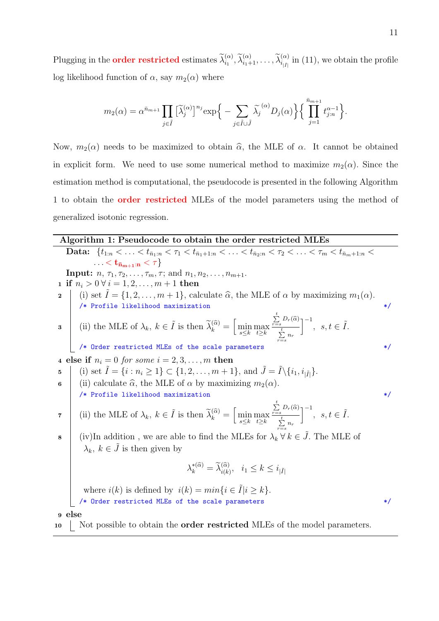Plugging in the **order restricted** estimates  $\tilde{\lambda}_{i_1}^{(\alpha)}, \tilde{\lambda}_{i_1+1}^{(\alpha)}, \ldots, \tilde{\lambda}_{i_{|\tilde{I}|}}^{(\alpha)}$  in (11), we obtain the profile log likelihood function of  $\alpha$ , say  $m_2(\alpha)$  where

$$
m_2(\alpha) = \alpha^{\bar{n}_{m+1}} \prod_{j \in \tilde{I}} \left[ \tilde{\lambda}_j^{(\alpha)} \right]^{n_j} \exp \Big\{ - \sum_{j \in \tilde{I} \cup \tilde{J}} \tilde{\lambda}_j^{(\alpha)} D_j(\alpha) \Big\} \Big\{ \prod_{j=1}^{\bar{n}_{m+1}} t_{j:n}^{\alpha-1} \Big\}.
$$

Now,  $m_2(\alpha)$  needs to be maximized to obtain  $\hat{\alpha}$ , the MLE of  $\alpha$ . It cannot be obtained in explicit form. We need to use some numerical method to maximize  $m_2(\alpha)$ . Since the estimation method is computational, the pseudocode is presented in the following Algorithm 1 to obtain the order restricted MLEs of the model parameters using the method of generalized isotonic regression.

#### Algorithm 1: Pseudocode to obtain the order restricted MLEs

Data:  $\{t_{1:n} < \ldots < t_{\bar{n}_1:n} < \tau_1 < t_{\bar{n}_1+1:n} < \ldots < t_{\bar{n}_2:n} < \tau_2 < \ldots < \tau_m < t_{\bar{n}_m+1:n} <$  $\ldots < \mathbf{t}_{\bar{\mathbf{n}}_{m+1}:\mathbf{n}} < \tau$ **Input:**  $n, \tau_1, \tau_2, \ldots, \tau_m, \tau;$  and  $n_1, n_2, \ldots, n_{m+1}$ . 1 if  $n_i > 0 \forall i = 1, 2, ..., m + 1$  then 2 (i) set  $\tilde{I} = \{1, 2, ..., m + 1\}$ , calculate  $\hat{\alpha}$ , the MLE of  $\alpha$  by maximizing  $m_1(\alpha)$ . /\* Profile likelihood maximization \*/ **3** (ii) the MLE of  $\lambda_k$ ,  $k \in \tilde{I}$  is then  $\tilde{\lambda}_k^{(\tilde{\alpha})} = \left[ \min_{s \leq k} \max_{t \geq k} \right]$  $\sum_{r=s}^{t} D_r(\widehat{\alpha})$  $\sum_{r=s}^{t} n_r$  $\bigcap^{-1}, s, t \in \tilde{I}.$ /\* Order restricted MLEs of the scale parameters \*/ 4 else if  $n_i = 0$  for some  $i = 2, 3, \ldots, m$  then 5  $(i)$  set  $\tilde{I} = \{i : n_i \ge 1\} \subset \{1, 2, \ldots, m + 1\}$ , and  $\tilde{J} = \tilde{I} \setminus \{i_1, i_{|\tilde{I}|}\}.$ 6 (ii) calculate  $\widehat{\alpha}$ , the MLE of  $\alpha$  by maximizing  $m_2(\alpha)$ . /\* Profile likelihood maximization \*/ 7 (ii) the MLE of  $\lambda_k, k \in \tilde{I}$  is then  $\tilde{\lambda}_k^{(\tilde{\alpha})} = \left[ \min_{s \leq k} \max_{t \geq k} \right]$  $\sum_{r=s}^{t} D_r(\widehat{\alpha})$  $\sum_{r=s}^{t} n_r$  $\bigcap^{-1}, s, t \in \tilde{I}.$ 8 (iv)In addition, we are able to find the MLEs for  $\lambda_k \forall k \in \tilde{J}$ . The MLE of  $\lambda_k, k \in \tilde{J}$  is then given by  $\lambda_k^{*(\widehat{\alpha})} = \widetilde{\lambda}_{i(k)}^{(\widehat{\alpha})}, \quad i_1 \leq k \leq i_{|\widetilde{I}|}$ where  $i(k)$  is defined by  $i(k) = min\{i \in \tilde{I} | i \geq k\}.$ /\* Order restricted MLEs of the scale parameters \*/ <sup>9</sup> else

10 Not possible to obtain the **order restricted** MLEs of the model parameters.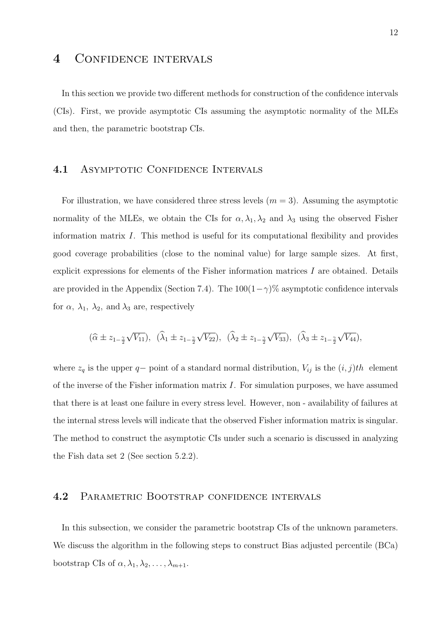## 4 CONFIDENCE INTERVALS

In this section we provide two different methods for construction of the confidence intervals (CIs). First, we provide asymptotic CIs assuming the asymptotic normality of the MLEs and then, the parametric bootstrap CIs.

#### 4.1 ASYMPTOTIC CONFIDENCE INTERVALS

For illustration, we have considered three stress levels  $(m = 3)$ . Assuming the asymptotic normality of the MLEs, we obtain the CIs for  $\alpha, \lambda_1, \lambda_2$  and  $\lambda_3$  using the observed Fisher information matrix  $I$ . This method is useful for its computational flexibility and provides good coverage probabilities (close to the nominal value) for large sample sizes. At first, explicit expressions for elements of the Fisher information matrices I are obtained. Details are provided in the Appendix (Section 7.4). The  $100(1-\gamma)\%$  asymptotic confidence intervals for  $\alpha$ ,  $\lambda_1$ ,  $\lambda_2$ , and  $\lambda_3$  are, respectively

$$
(\widehat{\alpha} \pm z_{1-\frac{\gamma}{2}}\sqrt{V_{11}}), \ \ (\widehat{\lambda}_1 \pm z_{1-\frac{\gamma}{2}}\sqrt{V_{22}}), \ \ (\widehat{\lambda}_2 \pm z_{1-\frac{\gamma}{2}}\sqrt{V_{33}}), \ \ (\widehat{\lambda}_3 \pm z_{1-\frac{\gamma}{2}}\sqrt{V_{44}}),
$$

where  $z_q$  is the upper q– point of a standard normal distribution,  $V_{ij}$  is the  $(i, j)th$  element of the inverse of the Fisher information matrix  $I$ . For simulation purposes, we have assumed that there is at least one failure in every stress level. However, non - availability of failures at the internal stress levels will indicate that the observed Fisher information matrix is singular. The method to construct the asymptotic CIs under such a scenario is discussed in analyzing the Fish data set 2 (See section 5.2.2).

## 4.2 PARAMETRIC BOOTSTRAP CONFIDENCE INTERVALS

In this subsection, we consider the parametric bootstrap CIs of the unknown parameters. We discuss the algorithm in the following steps to construct Bias adjusted percentile (BCa) bootstrap CIs of  $\alpha, \lambda_1, \lambda_2, \ldots, \lambda_{m+1}$ .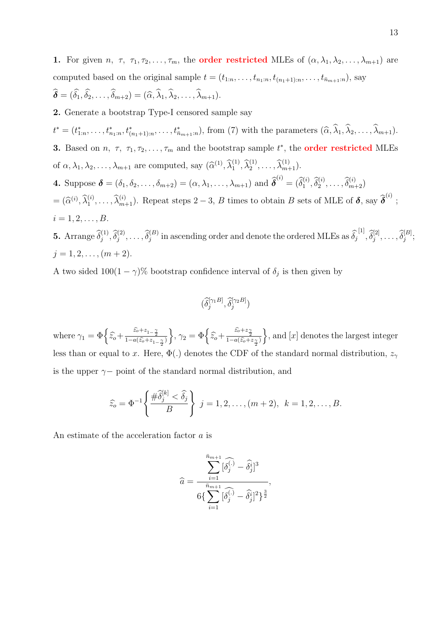1. For given *n*,  $\tau$ ,  $\tau_1, \tau_2, \ldots, \tau_m$ , the **order restricted** MLEs of  $(\alpha, \lambda_1, \lambda_2, \ldots, \lambda_{m+1})$  are computed based on the original sample  $t = (t_{1:n}, \ldots, t_{n_1:n}, t_{(n_1+1):n}, \ldots, t_{\bar{n}_{m+1}:n})$ , say  $\widehat{\boldsymbol{\delta}} = (\widehat{\delta}_1, \widehat{\delta}_2, \ldots, \widehat{\delta}_{m+2}) = (\widehat{\alpha}, \widehat{\lambda}_1, \widehat{\lambda}_2, \ldots, \widehat{\lambda}_{m+1}).$ 2. Generate a bootstrap Type-I censored sample say  $t^* = (t^*_{1:n}, \ldots, t^*_{n_1:n}, t^*_{(n_1+1):n}, \ldots, t^*_{n_{m+1}:n}),$  from (7) with the parameters  $(\widehat{\alpha}, \widehat{\lambda}_1, \widehat{\lambda}_2, \ldots, \widehat{\lambda}_{m+1}).$ **3.** Based on *n*,  $\tau$ ,  $\tau_1, \tau_2, \ldots, \tau_m$  and the bootstrap sample  $t^*$ , the **order restricted** MLEs of  $\alpha, \lambda_1, \lambda_2, \ldots, \lambda_{m+1}$  are computed, say  $(\widehat{\alpha}^{(1)}, \widehat{\lambda}_1^{(1)}, \widehat{\lambda}_2^{(1)}, \ldots, \widehat{\lambda}_{m+1}^{(1)})$ . **4.** Suppose  $\boldsymbol{\delta} = (\delta_1, \delta_2, \dots, \delta_{m+2}) = (\alpha, \lambda_1, \dots, \lambda_{m+1})$  and  $\widehat{\boldsymbol{\delta}}^{(i)} = (\widehat{\delta}_1^{(i)}, \widehat{\delta}_2^{(i)}, \dots, \widehat{\delta}_{m+2}^{(i)})$  $=(\widehat{\alpha}^{(i)}, \widehat{\lambda}_1^{(i)}, \ldots, \widehat{\lambda}_{m+1}^{(i)})$ . Repeat steps 2 – 3, B times to obtain B sets of MLE of  $\delta$ , say  $\widehat{\delta}^{(i)}$ ;  $i = 1, 2, \ldots, B$ . **5.** Arrange  $\widehat{\delta}_j^{(1)}, \widehat{\delta}_j^{(2)}, \ldots, \widehat{\delta}_j^{(B)}$  in ascending order and denote the ordered MLEs as  $\widehat{\delta}_j^{[1]}, \widehat{\delta}_j^{[2]}, \ldots, \widehat{\delta}_j^{[B]};$  $j = 1, 2, \ldots, (m + 2).$ 

A two sided  $100(1-\gamma)$ % bootstrap confidence interval of  $\delta_j$  is then given by

$$
(\widehat{\delta}_{j}^{[\gamma_1B]}, \widehat{\delta}_{j}^{[\gamma_2B]})
$$

where  $\gamma_1 = \Phi\left\{\hat{z}_0 + \frac{\hat{z}_0 + z_{1-\frac{\gamma}{2}}}{1 - a(\hat{z}_0 + z_{1-\frac{\gamma}{2}})}\right\}$ ,  $\gamma_2 = \Phi\left\{\hat{z}_0 + \frac{\hat{z}_0 + z_{\frac{\gamma}{2}}}{1 - a(\hat{z}_0 + z_{\frac{\gamma}{2}})}\right\}$ , and [x] denotes the largest integer less than or equal to x. Here,  $\Phi(.)$  denotes the CDF of the standard normal distribution,  $z_{\gamma}$ is the upper  $\gamma-$  point of the standard normal distribution, and

$$
\widehat{z}_o = \Phi^{-1}\left\{\frac{\#\widehat{\delta}_j^{[k]} < \widehat{\delta}_j}{B}\right\} \ j = 1, 2, \dots, (m+2), \ k = 1, 2, \dots, B.
$$

An estimate of the acceleration factor a is

$$
\widehat{a} = \frac{\displaystyle\sum_{i=1}^{\bar{n}_{m+1}}[\widehat{\delta_j^{(.)}} - \widehat{\delta_j^i}]^3}{6\big\{\displaystyle\sum_{i=1}^{\bar{n}_{m+1}}[\widehat{\delta_j^{(.)}} - \widehat{\delta_j^i}]^2\big\}^{\frac{3}{2}}},
$$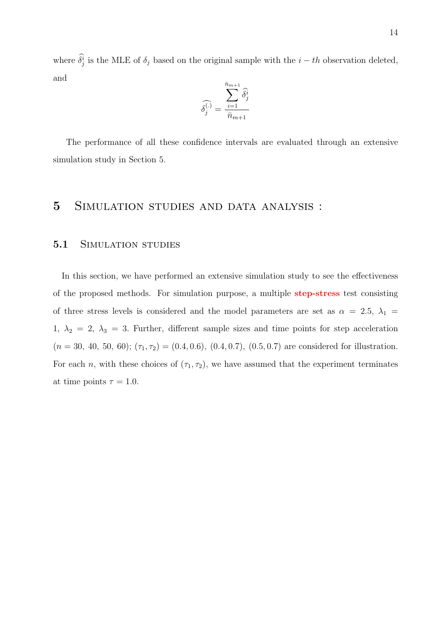where  $\delta_j^i$  is the MLE of  $\delta_j$  based on the original sample with the  $i - th$  observation deleted, and

$$
\widehat{\delta_j^{(\cdot)}} = \frac{\displaystyle\sum_{i=1}^{\bar{n}_{m+1}} \widehat{\delta_j^i}}{\bar{n}_{m+1}}
$$

The performance of all these confidence intervals are evaluated through an extensive simulation study in Section 5.

## 5 Simulation studies and data analysis :

#### 5.1 SIMULATION STUDIES

In this section, we have performed an extensive simulation study to see the effectiveness of the proposed methods. For simulation purpose, a multiple step-stress test consisting of three stress levels is considered and the model parameters are set as  $\alpha = 2.5$ ,  $\lambda_1 =$ 1,  $\lambda_2 = 2$ ,  $\lambda_3 = 3$ . Further, different sample sizes and time points for step acceleration  $(n = 30, 40, 50, 60); (\tau_1, \tau_2) = (0.4, 0.6), (0.4, 0.7), (0.5, 0.7)$  are considered for illustration. For each n, with these choices of  $(\tau_1, \tau_2)$ , we have assumed that the experiment terminates at time points  $\tau = 1.0$ .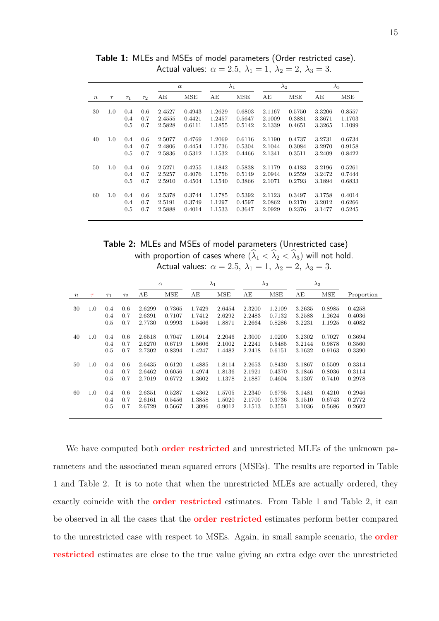|                  |        |          |          |        | $\alpha$ | $\lambda_2$<br>$\lambda_1$ |            |        |            | $\lambda_3$ |        |
|------------------|--------|----------|----------|--------|----------|----------------------------|------------|--------|------------|-------------|--------|
|                  |        |          |          |        |          |                            |            |        |            |             |        |
| $\boldsymbol{n}$ | $\tau$ | $\tau_1$ | $\tau_2$ | AЕ     | MSE      | AЕ                         | <b>MSE</b> | AЕ     | <b>MSE</b> | AE          | MSE    |
|                  |        |          |          |        |          |                            |            |        |            |             |        |
| 30               | 1.0    | 0.4      | 0.6      | 2.4527 | 0.4943   | 1.2629                     | 0.6803     | 2.1167 | 0.5750     | 3.3206      | 0.8557 |
|                  |        | 0.4      | 0.7      | 2.4555 | 0.4421   | 1.2457                     | 0.5647     | 2.1009 | 0.3881     | 3.3671      | 1.1703 |
|                  |        | 0.5      | 0.7      | 2.5828 | 0.6111   | 1.1855                     | 0.5142     | 2.1339 | 0.4651     | 3.3265      | 1.1099 |
|                  |        |          |          |        |          |                            |            |        |            |             |        |
| 40               | 1.0    | 0.4      | 0.6      | 2.5077 | 0.4769   | 1.2069                     | 0.6116     | 2.1190 | 0.4737     | 3.2731      | 0.6734 |
|                  |        | 0.4      | 0.7      | 2.4806 | 0.4454   | 1.1736                     | 0.5304     | 2.1044 | 0.3084     | 3.2970      | 0.9158 |
|                  |        | 0.5      | 0.7      | 2.5836 | 0.5312   | 1.1532                     | 0.4466     | 2.1341 | 0.3511     | 3.2409      | 0.8422 |
|                  |        |          |          |        |          |                            |            |        |            |             |        |
| 50               | 1.0    | 0.4      | 0.6      | 2.5271 | 0.4255   | 1.1842                     | 0.5838     | 2.1179 | 0.4183     | 3.2196      | 0.5261 |
|                  |        | 0.4      | 0.7      | 2.5257 | 0.4076   | 1.1756                     | 0.5149     | 2.0944 | 0.2559     | 3.2472      | 0.7444 |
|                  |        | 0.5      | 0.7      | 2.5910 | 0.4504   | 1.1540                     | 0.3866     | 2.1071 | 0.2793     | 3.1894      | 0.6833 |
|                  |        |          |          |        |          |                            |            |        |            |             |        |
| 60               | 1.0    | 0.4      | 0.6      | 2.5378 | 0.3744   | 1.1785                     | 0.5392     | 2.1123 | 0.3497     | 3.1758      | 0.4014 |
|                  |        | 0.4      | 0.7      | 2.5191 | 0.3749   | 1.1297                     | 0.4597     | 2.0862 | 0.2170     | 3.2012      | 0.6266 |
|                  |        | 0.5      | 0.7      | 2.5888 | 0.4014   | 1.1533                     | 0.3647     | 2.0929 | 0.2376     | 3.1477      | 0.5245 |
|                  |        |          |          |        |          |                            |            |        |            |             |        |

Table 1: MLEs and MSEs of model parameters (Order restricted case). Actual values:  $\alpha = 2.5$ ,  $\lambda_1 = 1$ ,  $\lambda_2 = 2$ ,  $\lambda_3 = 3$ .

Table 2: MLEs and MSEs of model parameters (Unrestricted case)

with proportion of cases where  $(\lambda_1 < \lambda_2 < \lambda_3)$  will not hold. Actual values:  $\alpha = 2.5, \ \lambda_1 = 1, \ \lambda_2 = 2, \ \lambda_3 = 3.$ 

|                  |        |          |          |        | $\alpha$ | $\lambda_2$<br>$\lambda_1$ |        |        |        | $\lambda_3$ |              |            |
|------------------|--------|----------|----------|--------|----------|----------------------------|--------|--------|--------|-------------|--------------|------------|
| $\boldsymbol{n}$ | $\tau$ | $\tau_1$ | $\tau_2$ | AЕ     | MSE      | AЕ                         | MSE    | AE     | MSE    | АE          | $_{\rm MSE}$ | Proportion |
|                  |        |          |          |        |          |                            |        |        |        |             |              |            |
| 30               | 1.0    | 0.4      | 0.6      | 2.6299 | 0.7365   | 1.7429                     | 2.6454 | 2.3200 | 1.2109 | 3.2635      | 0.8985       | 0.4258     |
|                  |        | 0.4      | 0.7      | 2.6391 | 0.7107   | 1.7412                     | 2.6292 | 2.2483 | 0.7132 | 3.2588      | 1.2624       | 0.4036     |
|                  |        | 0.5      | 0.7      | 2.7730 | 0.9993   | 1.5466                     | 1.8871 | 2.2664 | 0.8286 | 3.2231      | 1.1925       | 0.4082     |
| 40               | 1.0    | 0.4      | 0.6      | 2.6518 | 0.7047   | 1.5914                     | 2.2046 | 2.3000 | 1.0200 | 3.2302      | 0.7027       | 0.3694     |
|                  |        | 0.4      | 0.7      | 2.6270 | 0.6719   | 1.5606                     | 2.1002 | 2.2241 | 0.5485 | 3.2144      | 0.9878       | 0.3560     |
|                  |        |          |          |        |          |                            |        |        |        |             |              |            |
|                  |        | 0.5      | 0.7      | 2.7302 | 0.8394   | 1.4247                     | 1.4482 | 2.2418 | 0.6151 | 3.1632      | 0.9163       | 0.3390     |
| 50               | 1.0    | 0.4      | 0.6      | 2.6435 | 0.6120   | 1.4885                     | 1.8114 | 2.2653 | 0.8430 | 3.1867      | 0.5509       | 0.3314     |
|                  |        | 0.4      | 0.7      | 2.6462 | 0.6056   | 1.4974                     | 1.8136 | 2.1921 | 0.4370 | 3.1846      | 0.8036       | 0.3114     |
|                  |        | 0.5      | 0.7      | 2.7019 | 0.6772   | 1.3602                     | 1.1378 | 2.1887 | 0.4604 | 3.1307      | 0.7410       | 0.2978     |
| 60               | 1.0    | 0.4      | 0.6      | 2.6351 | 0.5287   | 1.4362                     | 1.5705 | 2.2340 | 0.6795 | 3.1481      | 0.4210       | 0.2946     |
|                  |        | 0.4      | 0.7      | 2.6161 | 0.5456   | 1.3858                     | 1.5020 | 2.1700 | 0.3736 | 3.1510      | 0.6743       | 0.2772     |
|                  |        | 0.5      | 0.7      | 2.6729 | 0.5667   | 1.3096                     | 0.9012 | 2.1513 | 0.3551 | 3.1036      | 0.5686       | 0.2602     |
|                  |        |          |          |        |          |                            |        |        |        |             |              |            |

We have computed both **order restricted** and unrestricted MLEs of the unknown parameters and the associated mean squared errors (MSEs). The results are reported in Table 1 and Table 2. It is to note that when the unrestricted MLEs are actually ordered, they exactly coincide with the **order restricted** estimates. From Table 1 and Table 2, it can be observed in all the cases that the **order restricted** estimates perform better compared to the unrestricted case with respect to MSEs. Again, in small sample scenario, the order restricted estimates are close to the true value giving an extra edge over the unrestricted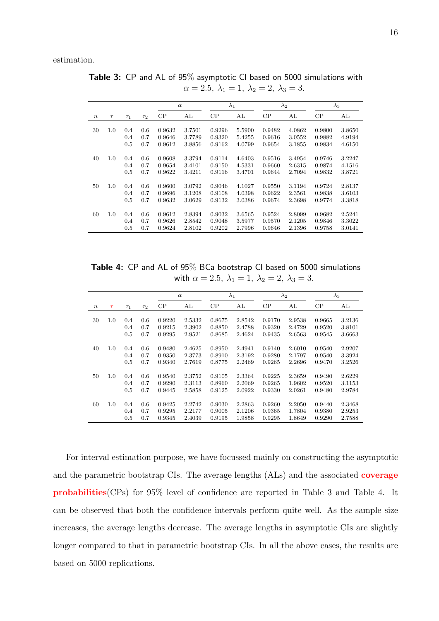estimation.

|                  |        |          |          |        | $\alpha$ | $\lambda_1$ |        | $\lambda_2$ |        | $\lambda_3$ |        |
|------------------|--------|----------|----------|--------|----------|-------------|--------|-------------|--------|-------------|--------|
| $\boldsymbol{n}$ | $\tau$ | $\tau_1$ | $\tau_2$ | CP     | AL       | $\rm CP$    | AL     | CP          | AL     | $\rm CP$    | AL     |
| 30               | 1.0    | 0.4      | 0.6      | 0.9632 | 3.7501   | 0.9296      | 5.5900 | 0.9482      | 4.0862 | 0.9800      | 3.8650 |
|                  |        | 0.4      | 0.7      | 0.9646 | 3.7789   | 0.9320      | 5.4255 | 0.9616      | 3.0552 | 0.9882      | 4.9194 |
|                  |        | 0.5      | 0.7      | 0.9612 | 3.8856   | 0.9162      | 4.0799 | 0.9654      | 3.1855 | 0.9834      | 4.6150 |
| 40               | 1.0    | 0.4      | 0.6      | 0.9608 | 3.3794   | 0.9114      | 4.6403 | 0.9516      | 3.4954 | 0.9746      | 3.2247 |
|                  |        | 0.4      | 0.7      | 0.9654 | 3.4101   | 0.9150      | 4.5331 | 0.9660      | 2.6315 | 0.9874      | 4.1516 |
|                  |        | 0.5      | 0.7      | 0.9622 | 3.4211   | 0.9116      | 3.4701 | 0.9644      | 2.7094 | 0.9832      | 3.8721 |
|                  |        |          |          |        |          |             |        |             |        |             |        |
| 50               | 1.0    | 0.4      | 0.6      | 0.9600 | 3.0792   | 0.9046      | 4.1027 | 0.9550      | 3.1194 | 0.9724      | 2.8137 |
|                  |        | 0.4      | 0.7      | 0.9696 | 3.1208   | 0.9108      | 4.0398 | 0.9622      | 2.3561 | 0.9838      | 3.6103 |
|                  |        | 0.5      | 0.7      | 0.9632 | 3.0629   | 0.9132      | 3.0386 | 0.9674      | 2.3698 | 0.9774      | 3.3818 |
|                  |        |          |          |        |          |             |        |             |        |             |        |
| 60               | 1.0    | 0.4      | 0.6      | 0.9612 | 2.8394   | 0.9032      | 3.6565 | 0.9524      | 2.8099 | 0.9682      | 2.5241 |
|                  |        | 0.4      | 0.7      | 0.9626 | 2.8542   | 0.9048      | 3.5977 | 0.9570      | 2.1205 | 0.9846      | 3.3022 |
|                  |        | 0.5      | 0.7      | 0.9624 | 2.8102   | 0.9202      | 2.7996 | 0.9646      | 2.1396 | 0.9758      | 3.0141 |

Table 3: CP and AL of 95% asymptotic CI based on 5000 simulations with  $\alpha = 2.5, \ \lambda_1 = 1, \ \lambda_2 = 2, \ \lambda_3 = 3.$ 

Table 4: CP and AL of 95% BCa bootstrap CI based on 5000 simulations with  $\alpha = 2.5, \ \lambda_1 = 1, \ \lambda_2 = 2, \ \lambda_3 = 3.$ 

|                  |        |          |          |        | $\alpha$ |        | $\lambda_1$ |        | $\lambda_2$ |        | $\lambda_3$ |
|------------------|--------|----------|----------|--------|----------|--------|-------------|--------|-------------|--------|-------------|
| $\boldsymbol{n}$ | $\tau$ | $\tau_1$ | $\tau_2$ | CP     | AL       | CP     | AL          | CP     | AL          | CP     | AL          |
|                  |        |          |          |        |          |        |             |        |             |        |             |
| 30               | 1.0    | 0.4      | 0.6      | 0.9220 | 2.5332   | 0.8675 | 2.8542      | 0.9170 | 2.9538      | 0.9665 | 3.2136      |
|                  |        | 0.4      | 0.7      | 0.9215 | 2.3902   | 0.8850 | 2.4788      | 0.9320 | 2.4729      | 0.9520 | 3.8101      |
|                  |        | 0.5      | 0.7      | 0.9295 | 2.9521   | 0.8685 | 2.4624      | 0.9435 | 2.6563      | 0.9545 | 3.6663      |
|                  |        |          |          |        |          |        |             |        |             |        |             |
| 40               | 1.0    | 0.4      | 0.6      | 0.9480 | 2.4625   | 0.8950 | 2.4941      | 0.9140 | 2.6010      | 0.9540 | 2.9207      |
|                  |        | 0.4      | 0.7      | 0.9350 | 2.3773   | 0.8910 | 2.3192      | 0.9280 | 2.1797      | 0.9540 | 3.3924      |
|                  |        | 0.5      | 0.7      | 0.9340 | 2.7619   | 0.8775 | 2.2469      | 0.9265 | 2.2696      | 0.9470 | 3.2526      |
|                  |        |          |          |        |          |        |             |        |             |        |             |
| 50               | 1.0    | 0.4      | 0.6      | 0.9540 | 2.3752   | 0.9105 | 2.3364      | 0.9225 | 2.3659      | 0.9490 | 2.6229      |
|                  |        | 0.4      | 0.7      | 0.9290 | 2.3113   | 0.8960 | 2.2069      | 0.9265 | 1.9602      | 0.9520 | 3.1153      |
|                  |        | 0.5      | 0.7      | 0.9445 | 2.5858   | 0.9125 | 2.0922      | 0.9330 | 2.0261      | 0.9480 | 2.9784      |
| 60               | 1.0    | 0.4      | 0.6      | 0.9425 | 2.2742   | 0.9030 | 2.2863      | 0.9260 | 2.2050      | 0.9440 | 2.3468      |
|                  |        | 0.4      | 0.7      | 0.9295 | 2.2177   | 0.9005 | 2.1206      | 0.9365 | 1.7804      | 0.9380 | 2.9253      |
|                  |        |          |          |        |          |        |             |        |             |        |             |
|                  |        | 0.5      | 0.7      | 0.9345 | 2.4039   | 0.9195 | 1.9858      | 0.9295 | 1.8649      | 0.9290 | 2.7588      |

For interval estimation purpose, we have focussed mainly on constructing the asymptotic and the parametric bootstrap CIs. The average lengths (ALs) and the associated coverage probabilities(CPs) for 95% level of confidence are reported in Table 3 and Table 4. It can be observed that both the confidence intervals perform quite well. As the sample size increases, the average lengths decrease. The average lengths in asymptotic CIs are slightly longer compared to that in parametric bootstrap CIs. In all the above cases, the results are based on 5000 replications.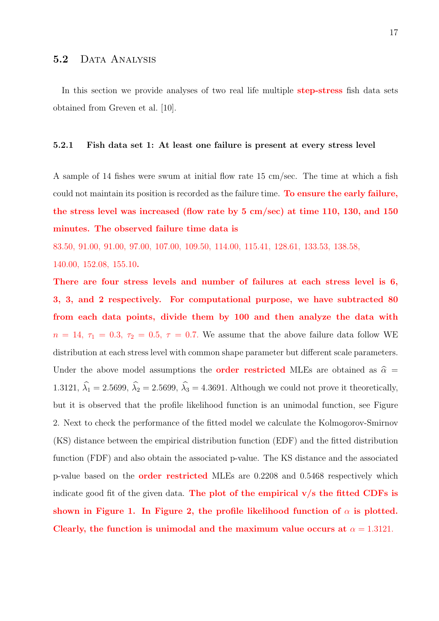In this section we provide analyses of two real life multiple **step-stress** fish data sets obtained from Greven et al. [10].

#### 5.2.1 Fish data set 1: At least one failure is present at every stress level

A sample of 14 fishes were swum at initial flow rate 15 cm/sec. The time at which a fish could not maintain its position is recorded as the failure time. To ensure the early failure, the stress level was increased (flow rate by 5 cm/sec) at time 110, 130, and 150 minutes. The observed failure time data is

83.50, 91.00, 91.00, 97.00, 107.00, 109.50, 114.00, 115.41, 128.61, 133.53, 138.58,

140.00, 152.08, 155.10.

There are four stress levels and number of failures at each stress level is 6, 3, 3, and 2 respectively. For computational purpose, we have subtracted 80 from each data points, divide them by 100 and then analyze the data with  $n = 14, \tau_1 = 0.3, \tau_2 = 0.5, \tau = 0.7.$  We assume that the above failure data follow WE distribution at each stress level with common shape parameter but different scale parameters. Under the above model assumptions the **order restricted** MLEs are obtained as  $\hat{\alpha}$  = 1.3121,  $\widehat{\lambda}_1 = 2.5699, \widehat{\lambda}_2 = 2.5699, \widehat{\lambda}_3 = 4.3691$ . Although we could not prove it theoretically, but it is observed that the profile likelihood function is an unimodal function, see Figure 2. Next to check the performance of the fitted model we calculate the Kolmogorov-Smirnov (KS) distance between the empirical distribution function (EDF) and the fitted distribution function (FDF) and also obtain the associated p-value. The KS distance and the associated p-value based on the order restricted MLEs are 0.2208 and 0.5468 respectively which indicate good fit of the given data. The plot of the empirical  $v/s$  the fitted CDFs is shown in Figure 1. In Figure 2, the profile likelihood function of  $\alpha$  is plotted. Clearly, the function is unimodal and the maximum value occurs at  $\alpha = 1.3121$ .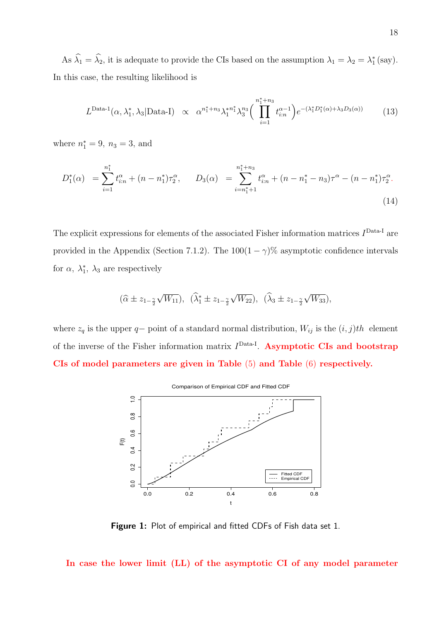As  $\hat{\lambda}_1 = \hat{\lambda}_2$ , it is adequate to provide the CIs based on the assumption  $\lambda_1 = \lambda_2 = \lambda_1^*$  (say). In this case, the resulting likelihood is

$$
L^{\text{Data-1}}(\alpha, \lambda_1^*, \lambda_3 | \text{Data-I}) \propto \alpha^{n_1^* + n_3} \lambda_1^{* n_1^*} \lambda_3^{n_3} \bigg(\prod_{i=1}^{n_1^* + n_3} t_{i:n}^{\alpha - 1}\bigg) e^{-(\lambda_1^* D_1^*(\alpha) + \lambda_3 D_3(\alpha))} \tag{13}
$$

where  $n_1^* = 9$ ,  $n_3 = 3$ , and

$$
D_1^*(\alpha) = \sum_{i=1}^{n_1^*} t_{i:n}^{\alpha} + (n - n_1^*)\tau_2^{\alpha}, \qquad D_3(\alpha) = \sum_{i=n_1^*+1}^{n_1^*+n_3} t_{i:n}^{\alpha} + (n - n_1^* - n_3)\tau^{\alpha} - (n - n_1^*)\tau_2^{\alpha}.
$$
\n(14)

The explicit expressions for elements of the associated Fisher information matrices  $I<sup>Data-I</sup>$  are provided in the Appendix (Section 7.1.2). The  $100(1 - \gamma)\%$  asymptotic confidence intervals for  $\alpha$ ,  $\lambda_1^*$ ,  $\lambda_3$  are respectively

$$
(\widehat{\alpha} \pm z_{1-\frac{\gamma}{2}}\sqrt{W_{11}}), \ \ (\widehat{\lambda}_1^* \pm z_{1-\frac{\gamma}{2}}\sqrt{W_{22}}), \ \ (\widehat{\lambda}_3 \pm z_{1-\frac{\gamma}{2}}\sqrt{W_{33}}),
$$

where  $z_q$  is the upper q– point of a standard normal distribution,  $W_{ij}$  is the  $(i, j)th$  element of the inverse of the Fisher information matrix  $I<sup>Data-I</sup>$ . Asymptotic CIs and bootstrap CIs of model parameters are given in Table (5) and Table (6) respectively.



Figure 1: Plot of empirical and fitted CDFs of Fish data set 1.

In case the lower limit (LL) of the asymptotic CI of any model parameter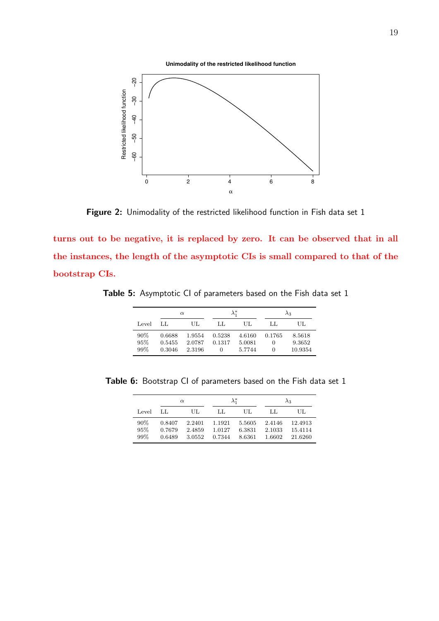**Unimodality of the restricted likelihood function**



Figure 2: Unimodality of the restricted likelihood function in Fish data set 1

turns out to be negative, it is replaced by zero. It can be observed that in all the instances, the length of the asymptotic CIs is small compared to that of the bootstrap CIs.

Table 5: Asymptotic CI of parameters based on the Fish data set 1

|                   |                            | $\alpha$                   | $\lambda_1^*$                    |                            | $\lambda_3$      |                             |  |
|-------------------|----------------------------|----------------------------|----------------------------------|----------------------------|------------------|-----------------------------|--|
| Level             | LL.                        | UL.                        | LL.                              | UL.                        | LL               | UL.                         |  |
| 90%<br>95%<br>99% | 0.6688<br>0.5455<br>0.3046 | 1.9554<br>2.0787<br>2.3196 | 0.5238<br>0.1317<br>$\mathbf{0}$ | 4.6160<br>5.0081<br>5.7744 | 0.1765<br>0<br>0 | 8.5618<br>9.3652<br>10.9354 |  |

Table 6: Bootstrap CI of parameters based on the Fish data set 1

|                      |                            | $\alpha$                   | $\lambda_1^*$              |                            | $\lambda_3$                |                               |  |
|----------------------|----------------------------|----------------------------|----------------------------|----------------------------|----------------------------|-------------------------------|--|
| Level                | LL.                        | UL                         | LL.                        | UL.                        | LL                         | UL                            |  |
| $90\%$<br>95%<br>99% | 0.8407<br>0.7679<br>0.6489 | 2.2401<br>2.4859<br>3.0552 | 1.1921<br>1.0127<br>0.7344 | 5.5605<br>6.3831<br>8.6361 | 2.4146<br>2.1033<br>1.6602 | 12.4913<br>15.4114<br>21.6260 |  |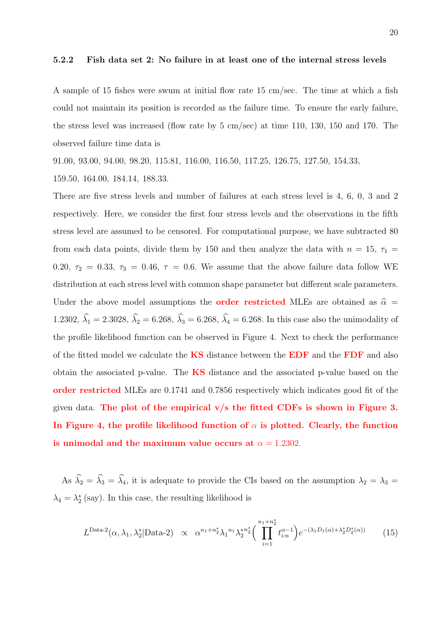#### 5.2.2 Fish data set 2: No failure in at least one of the internal stress levels

A sample of 15 fishes were swum at initial flow rate 15 cm/sec. The time at which a fish could not maintain its position is recorded as the failure time. To ensure the early failure, the stress level was increased (flow rate by 5 cm/sec) at time 110, 130, 150 and 170. The observed failure time data is

91.00, 93.00, 94.00, 98.20, 115.81, 116.00, 116.50, 117.25, 126.75, 127.50, 154.33,

159.50, 164.00, 184.14, 188.33.

There are five stress levels and number of failures at each stress level is 4, 6, 0, 3 and 2 respectively. Here, we consider the first four stress levels and the observations in the fifth stress level are assumed to be censored. For computational purpose, we have subtracted 80 from each data points, divide them by 150 and then analyze the data with  $n = 15$ ,  $\tau_1 =$ 0.20,  $\tau_2$  = 0.33,  $\tau_3$  = 0.46,  $\tau$  = 0.6. We assume that the above failure data follow WE distribution at each stress level with common shape parameter but different scale parameters. Under the above model assumptions the **order restricted** MLEs are obtained as  $\hat{\alpha}$  = 1.2302,  $\hat{\lambda}_1 = 2.3028$ ,  $\hat{\lambda}_2 = 6.268$ ,  $\hat{\lambda}_3 = 6.268$ ,  $\hat{\lambda}_4 = 6.268$ . In this case also the unimodality of the profile likelihood function can be observed in Figure 4. Next to check the performance of the fitted model we calculate the **KS** distance between the **EDF** and the **FDF** and also obtain the associated p-value. The  $\overline{KS}$  distance and the associated p-value based on the order restricted MLEs are 0.1741 and 0.7856 respectively which indicates good fit of the given data. The plot of the empirical  $v/s$  the fitted CDFs is shown in Figure 3. In Figure 4, the profile likelihood function of  $\alpha$  is plotted. Clearly, the function is unimodal and the maximum value occurs at  $\alpha = 1.2302$ .

As  $\hat{\lambda}_2 = \hat{\lambda}_3 = \hat{\lambda}_4$ , it is adequate to provide the CIs based on the assumption  $\lambda_2 = \lambda_3 =$  $\lambda_4 = \lambda_2^*$  (say). In this case, the resulting likelihood is

$$
L^{\text{Data-2}}(\alpha, \lambda_1, \lambda_2^* | \text{Data-2}) \propto \alpha^{n_1 + n_2^*} \lambda_1^{n_1} \lambda_2^{* n_2^*} \Big( \prod_{i=1}^{n_1 + n_2^*} t_{i:n}^{\alpha - 1} \Big) e^{-(\lambda_1 D_1(\alpha) + \lambda_2^* D_2^*(\alpha))} \tag{15}
$$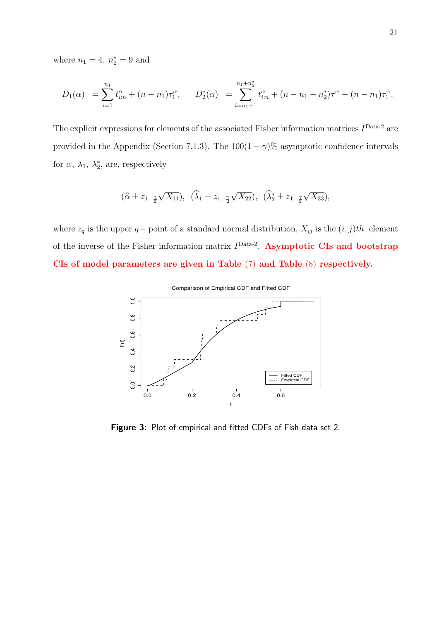where  $n_1 = 4, n_2^* = 9$  and

$$
D_1(\alpha) = \sum_{i=1}^{n_1} t_{i:n}^{\alpha} + (n - n_1)\tau_1^{\alpha}, \qquad D_2^*(\alpha) = \sum_{i=n_1+1}^{n_1+n_2^*} t_{i:n}^{\alpha} + (n - n_1 - n_2^*)\tau^{\alpha} - (n - n_1)\tau_1^{\alpha}.
$$

The explicit expressions for elements of the associated Fisher information matrices  $I<sup>Data-2</sup>$  are provided in the Appendix (Section 7.1.3). The  $100(1 - \gamma)\%$  asymptotic confidence intervals for  $\alpha$ ,  $\lambda_1$ ,  $\lambda_2^*$ , are, respectively

$$
(\widehat{\alpha} \pm z_{1-\frac{\gamma}{2}}\sqrt{X_{11}}), \ \ (\widehat{\lambda}_1 \pm z_{1-\frac{\gamma}{2}}\sqrt{X_{22}}), \ \ (\widehat{\lambda}_2^* \pm z_{1-\frac{\gamma}{2}}\sqrt{X_{33}}),
$$

where  $z_q$  is the upper q– point of a standard normal distribution,  $X_{ij}$  is the  $(i, j)th$  element of the inverse of the Fisher information matrix  $I<sup>Data-2</sup>$ . Asymptotic CIs and bootstrap CIs of model parameters are given in Table (7) and Table (8) respectively.



Figure 3: Plot of empirical and fitted CDFs of Fish data set 2.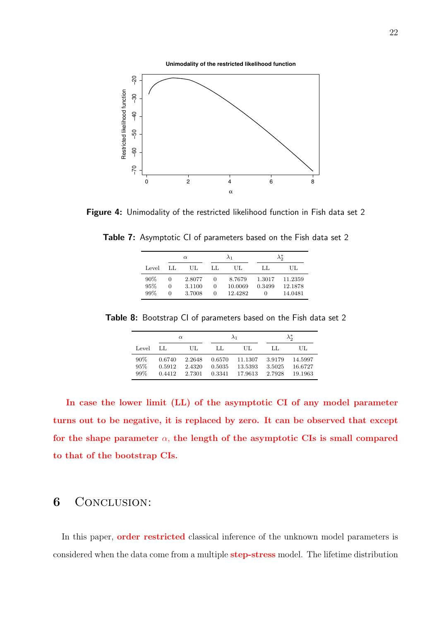**Unimodality of the restricted likelihood function**



Figure 4: Unimodality of the restricted likelihood function in Fish data set 2

Table 7: Asymptotic CI of parameters based on the Fish data set 2

|                      | $\alpha$          |                            | $\lambda_1$                   |                              | $\lambda_{0}^{*}$                    |                               |
|----------------------|-------------------|----------------------------|-------------------------------|------------------------------|--------------------------------------|-------------------------------|
| Level                | LL.               | UL                         | LL.                           | UL                           | LL                                   | UL.                           |
| $90\%$<br>95%<br>99% | $\mathbf{0}$<br>0 | 2.8077<br>3.1100<br>3.7008 | $\theta$<br>0<br>$\mathbf{0}$ | 8.7679<br>10.0069<br>12.4282 | 1.3017<br>0.3499<br>$\left( \right)$ | 11.2359<br>12.1878<br>14.0481 |

Table 8: Bootstrap CI of parameters based on the Fish data set 2

| $\alpha$          |                            |                            |                            | $\lambda_1$                   | $\lambda_2^*$              |                               |  |
|-------------------|----------------------------|----------------------------|----------------------------|-------------------------------|----------------------------|-------------------------------|--|
| Level             | LL                         | UL.                        | LL                         | UL                            | LL.                        | UL.                           |  |
| 90%<br>95%<br>99% | 0.6740<br>0.5912<br>0.4412 | 2.2648<br>2.4320<br>2.7301 | 0.6570<br>0.5035<br>0.3341 | 11.1307<br>13.5393<br>17.9613 | 3.9179<br>3.5025<br>2.7928 | 14.5997<br>16.6727<br>19.1963 |  |

In case the lower limit (LL) of the asymptotic CI of any model parameter turns out to be negative, it is replaced by zero. It can be observed that except for the shape parameter  $\alpha$ , the length of the asymptotic CIs is small compared to that of the bootstrap CIs.

# 6 CONCLUSION:

In this paper, **order restricted** classical inference of the unknown model parameters is considered when the data come from a multiple step-stress model. The lifetime distribution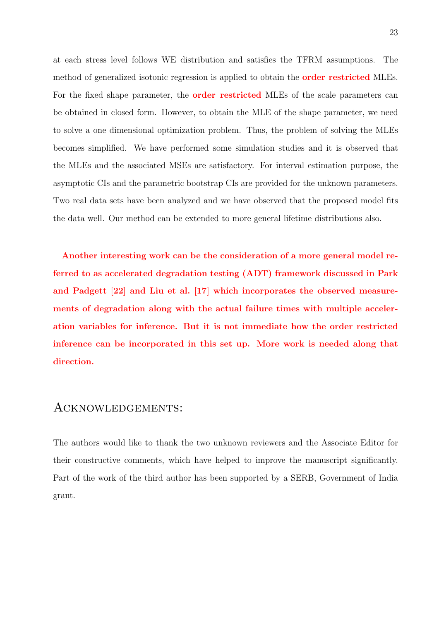at each stress level follows WE distribution and satisfies the TFRM assumptions. The method of generalized isotonic regression is applied to obtain the **order restricted** MLEs. For the fixed shape parameter, the **order restricted** MLEs of the scale parameters can be obtained in closed form. However, to obtain the MLE of the shape parameter, we need to solve a one dimensional optimization problem. Thus, the problem of solving the MLEs becomes simplified. We have performed some simulation studies and it is observed that the MLEs and the associated MSEs are satisfactory. For interval estimation purpose, the asymptotic CIs and the parametric bootstrap CIs are provided for the unknown parameters. Two real data sets have been analyzed and we have observed that the proposed model fits the data well. Our method can be extended to more general lifetime distributions also.

Another interesting work can be the consideration of a more general model referred to as accelerated degradation testing (ADT) framework discussed in Park and Padgett [22] and Liu et al. [17] which incorporates the observed measurements of degradation along with the actual failure times with multiple acceleration variables for inference. But it is not immediate how the order restricted inference can be incorporated in this set up. More work is needed along that direction.

## Acknowledgements:

The authors would like to thank the two unknown reviewers and the Associate Editor for their constructive comments, which have helped to improve the manuscript significantly. Part of the work of the third author has been supported by a SERB, Government of India grant.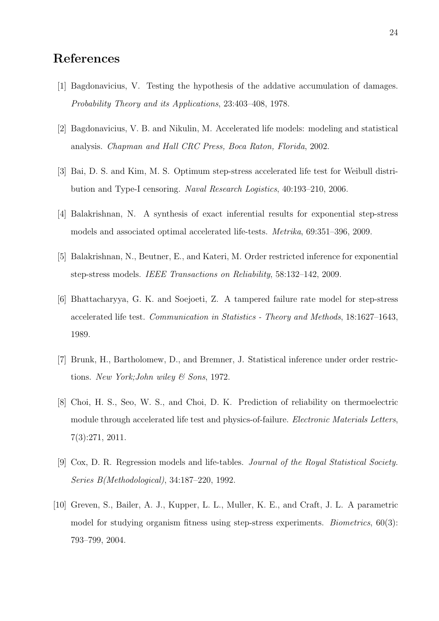# References

- [1] Bagdonavicius, V. Testing the hypothesis of the addative accumulation of damages. Probability Theory and its Applications, 23:403–408, 1978.
- [2] Bagdonavicius, V. B. and Nikulin, M. Accelerated life models: modeling and statistical analysis. Chapman and Hall CRC Press, Boca Raton, Florida, 2002.
- [3] Bai, D. S. and Kim, M. S. Optimum step-stress accelerated life test for Weibull distribution and Type-I censoring. Naval Research Logistics, 40:193–210, 2006.
- [4] Balakrishnan, N. A synthesis of exact inferential results for exponential step-stress models and associated optimal accelerated life-tests. Metrika, 69:351–396, 2009.
- [5] Balakrishnan, N., Beutner, E., and Kateri, M. Order restricted inference for exponential step-stress models. IEEE Transactions on Reliability, 58:132–142, 2009.
- [6] Bhattacharyya, G. K. and Soejoeti, Z. A tampered failure rate model for step-stress accelerated life test. Communication in Statistics - Theory and Methods, 18:1627–1643, 1989.
- [7] Brunk, H., Bartholomew, D., and Bremner, J. Statistical inference under order restrictions. New York;John wiley & Sons, 1972.
- [8] Choi, H. S., Seo, W. S., and Choi, D. K. Prediction of reliability on thermoelectric module through accelerated life test and physics-of-failure. Electronic Materials Letters, 7(3):271, 2011.
- [9] Cox, D. R. Regression models and life-tables. Journal of the Royal Statistical Society. Series B(Methodological), 34:187–220, 1992.
- [10] Greven, S., Bailer, A. J., Kupper, L. L., Muller, K. E., and Craft, J. L. A parametric model for studying organism fitness using step-stress experiments. *Biometrics*, 60(3): 793–799, 2004.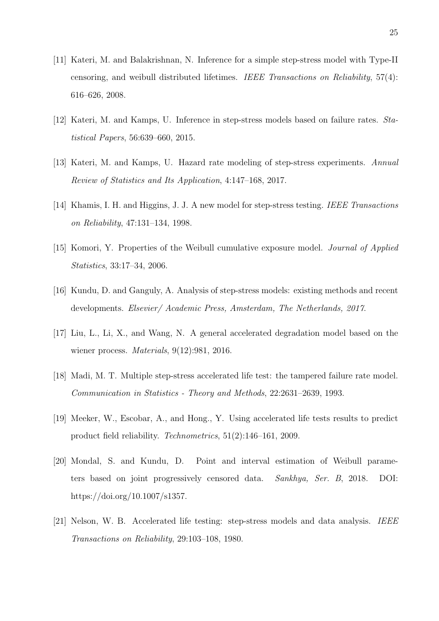- [11] Kateri, M. and Balakrishnan, N. Inference for a simple step-stress model with Type-II censoring, and weibull distributed lifetimes. IEEE Transactions on Reliability, 57(4): 616–626, 2008.
- [12] Kateri, M. and Kamps, U. Inference in step-stress models based on failure rates. Statistical Papers, 56:639–660, 2015.
- [13] Kateri, M. and Kamps, U. Hazard rate modeling of step-stress experiments. Annual Review of Statistics and Its Application, 4:147–168, 2017.
- [14] Khamis, I. H. and Higgins, J. J. A new model for step-stress testing. IEEE Transactions on Reliability, 47:131–134, 1998.
- [15] Komori, Y. Properties of the Weibull cumulative exposure model. *Journal of Applied* Statistics, 33:17–34, 2006.
- [16] Kundu, D. and Ganguly, A. Analysis of step-stress models: existing methods and recent developments. Elsevier/ Academic Press, Amsterdam, The Netherlands, 2017.
- [17] Liu, L., Li, X., and Wang, N. A general accelerated degradation model based on the wiener process. Materials, 9(12):981, 2016.
- [18] Madi, M. T. Multiple step-stress accelerated life test: the tampered failure rate model. Communication in Statistics - Theory and Methods, 22:2631–2639, 1993.
- [19] Meeker, W., Escobar, A., and Hong., Y. Using accelerated life tests results to predict product field reliability. Technometrics, 51(2):146–161, 2009.
- [20] Mondal, S. and Kundu, D. Point and interval estimation of Weibull parameters based on joint progressively censored data. Sankhya, Ser. B, 2018. DOI: https://doi.org/10.1007/s1357.
- [21] Nelson, W. B. Accelerated life testing: step-stress models and data analysis. IEEE Transactions on Reliability, 29:103–108, 1980.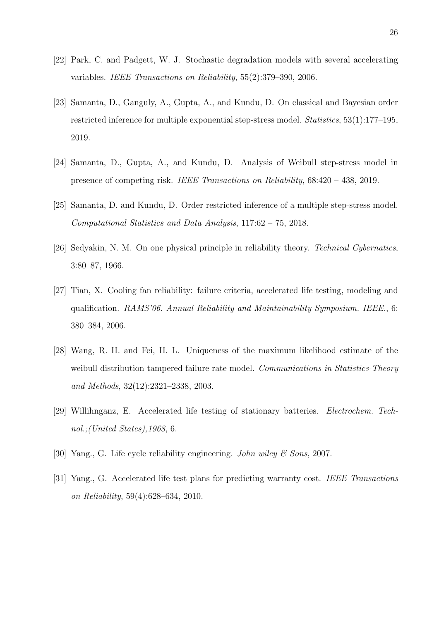- [22] Park, C. and Padgett, W. J. Stochastic degradation models with several accelerating variables. IEEE Transactions on Reliability, 55(2):379–390, 2006.
- [23] Samanta, D., Ganguly, A., Gupta, A., and Kundu, D. On classical and Bayesian order restricted inference for multiple exponential step-stress model. Statistics, 53(1):177–195, 2019.
- [24] Samanta, D., Gupta, A., and Kundu, D. Analysis of Weibull step-stress model in presence of competing risk. IEEE Transactions on Reliability, 68:420 – 438, 2019.
- [25] Samanta, D. and Kundu, D. Order restricted inference of a multiple step-stress model. Computational Statistics and Data Analysis, 117:62 – 75, 2018.
- [26] Sedyakin, N. M. On one physical principle in reliability theory. Technical Cybernatics, 3:80–87, 1966.
- [27] Tian, X. Cooling fan reliability: failure criteria, accelerated life testing, modeling and qualification. RAMS'06. Annual Reliability and Maintainability Symposium. IEEE., 6: 380–384, 2006.
- [28] Wang, R. H. and Fei, H. L. Uniqueness of the maximum likelihood estimate of the weibull distribution tampered failure rate model. Communications in Statistics-Theory and Methods, 32(12):2321–2338, 2003.
- [29] Willihnganz, E. Accelerated life testing of stationary batteries. Electrochem. Technol.;(United States),1968, 6.
- [30] Yang., G. Life cycle reliability engineering. John wiley  $\mathcal{C}$  Sons, 2007.
- [31] Yang., G. Accelerated life test plans for predicting warranty cost. IEEE Transactions on Reliability, 59(4):628–634, 2010.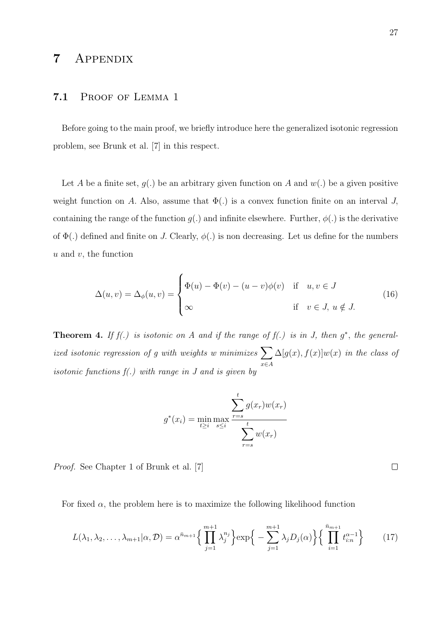## 7 Appendix

#### 7.1 Proof of Lemma 1

Before going to the main proof, we briefly introduce here the generalized isotonic regression problem, see Brunk et al. [7] in this respect.

Let A be a finite set,  $g(.)$  be an arbitrary given function on A and  $w(.)$  be a given positive weight function on A. Also, assume that  $\Phi(.)$  is a convex function finite on an interval J, containing the range of the function  $g(.)$  and infinite elsewhere. Further,  $\phi(.)$  is the derivative of  $\Phi(.)$  defined and finite on J. Clearly,  $\phi(.)$  is non decreasing. Let us define for the numbers  $u$  and  $v$ , the function

$$
\Delta(u,v) = \Delta_{\phi}(u,v) = \begin{cases} \Phi(u) - \Phi(v) - (u-v)\phi(v) & \text{if } u, v \in J \\ \infty & \text{if } v \in J, u \notin J. \end{cases}
$$
(16)

**Theorem 4.** If  $f(.)$  is isotonic on A and if the range of  $f(.)$  is in J, then  $g^*$ , the generalized isotonic regression of g with weights w minimizes  $\sum$ x∈A  $\Delta[g(x),f(x)]w(x)$  in the class of isotonic functions  $f(.)$  with range in J and is given by

$$
g^*(x_i) = \min_{t \ge i} \max_{s \le i} \frac{\sum_{r=s}^t g(x_r) w(x_r)}{\sum_{r=s}^t w(x_r)}
$$

Proof. See Chapter 1 of Brunk et al. [7]

For fixed  $\alpha$ , the problem here is to maximize the following likelihood function

$$
L(\lambda_1, \lambda_2, \dots, \lambda_{m+1} | \alpha, \mathcal{D}) = \alpha^{\bar{n}_{m+1}} \left\{ \prod_{j=1}^{m+1} \lambda_j^{n_j} \right\} \exp \left\{ - \sum_{j=1}^{m+1} \lambda_j D_j(\alpha) \right\} \left\{ \prod_{i=1}^{\bar{n}_{m+1}} t_{i:n}^{\alpha - 1} \right\} \tag{17}
$$

 $\Box$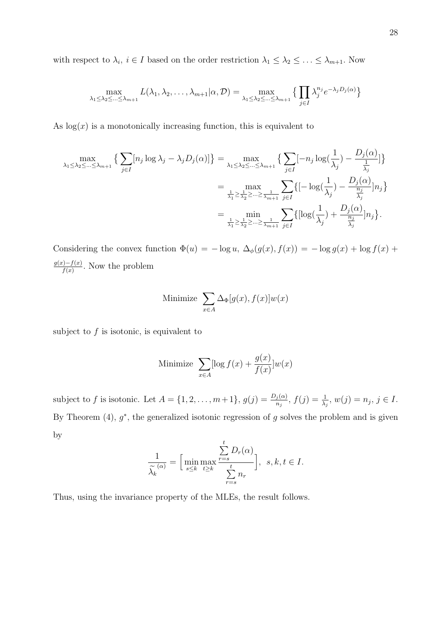with respect to  $\lambda_i$ ,  $i \in I$  based on the order restriction  $\lambda_1 \leq \lambda_2 \leq \ldots \leq \lambda_{m+1}$ . Now

$$
\max_{\lambda_1 \leq \lambda_2 \leq \ldots \leq \lambda_{m+1}} L(\lambda_1, \lambda_2, \ldots, \lambda_{m+1} | \alpha, \mathcal{D}) = \max_{\lambda_1 \leq \lambda_2 \leq \ldots \leq \lambda_{m+1}} \left\{ \prod_{j \in I} \lambda_j^{n_j} e^{-\lambda_j D_j(\alpha)} \right\}
$$

As  $log(x)$  is a monotonically increasing function, this is equivalent to

$$
\max_{\lambda_1 \leq \lambda_2 \leq \dots \leq \lambda_{m+1}} \left\{ \sum_{j \in I} [n_j \log \lambda_j - \lambda_j D_j(\alpha)] \right\} = \max_{\lambda_1 \leq \lambda_2 \leq \dots \leq \lambda_{m+1}} \left\{ \sum_{j \in I} [-n_j \log(\frac{1}{\lambda_j}) - \frac{D_j(\alpha)}{\frac{1}{\lambda_j}}] \right\}
$$
  

$$
= \max_{\frac{1}{\lambda_1} \geq \frac{1}{\lambda_2} \geq \dots \geq \frac{1}{\lambda_{m+1}}} \sum_{j \in I} \left\{ [-\log(\frac{1}{\lambda_j}) - \frac{D_j(\alpha)}{\frac{n_j}{\lambda_j}}] n_j \right\}
$$
  

$$
= \min_{\frac{1}{\lambda_1} \geq \frac{1}{\lambda_2} \geq \dots \geq \frac{1}{\lambda_{m+1}}} \sum_{j \in I} \left\{ [\log(\frac{1}{\lambda_j}) + \frac{D_j(\alpha)}{\frac{n_j}{\lambda_j}}] n_j \right\}.
$$

Considering the convex function  $\Phi(u) = -\log u$ ,  $\Delta_{\phi}(g(x), f(x)) = -\log g(x) + \log f(x) + \Delta_{\phi}(g(x), f(x))$  $g(x)-f(x)$  $\frac{f(x)-f(x)}{f(x)}$ . Now the problem

Minimize 
$$
\sum_{x \in A} \Delta_{\Phi}[g(x), f(x)]w(x)
$$

subject to  $f$  is isotonic, is equivalent to

Minimize 
$$
\sum_{x \in A} [\log f(x) + \frac{g(x)}{f(x)}] w(x)
$$

subject to f is isotonic. Let  $A = \{1, 2, ..., m+1\}$ ,  $g(j) = \frac{D_j(\alpha)}{n_j}$ ,  $f(j) = \frac{1}{\lambda_j}$ ,  $w(j) = n_j$ ,  $j \in I$ . By Theorem  $(4)$ ,  $g^*$ , the generalized isotonic regression of g solves the problem and is given by

$$
\frac{1}{\widetilde{\lambda_k}^{(\alpha)}} = \left[\min_{s \leq k} \max_{t \geq k} \frac{\sum_{r=s}^t D_r(\alpha)}{\sum_{r=s}^t n_r}\right], \ s, k, t \in I.
$$

Thus, using the invariance property of the MLEs, the result follows.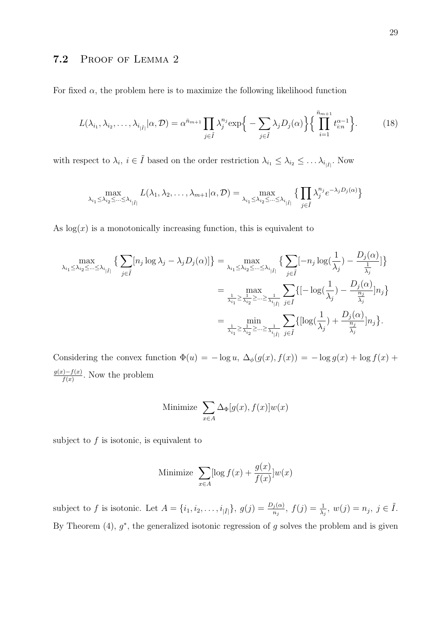### 7.2 Proof of Lemma 2

For fixed  $\alpha$ , the problem here is to maximize the following likelihood function

$$
L(\lambda_{i_1}, \lambda_{i_2}, \dots, \lambda_{i_{|\tilde{I}|}} | \alpha, \mathcal{D}) = \alpha^{\bar{n}_{m+1}} \prod_{j \in \tilde{I}} \lambda_j^{n_j} \exp\Big\{-\sum_{j \in \tilde{I}} \lambda_j D_j(\alpha)\Big\} \Big\{\prod_{i=1}^{\bar{n}_{m+1}} t_{i:n}^{\alpha-1}\Big\}.
$$
 (18)

with respect to  $\lambda_i, i \in \tilde{I}$  based on the order restriction  $\lambda_{i_1} \leq \lambda_{i_2} \leq \ldots \lambda_{i_{|\tilde{I}|}}$ . Now

$$
\max_{\lambda_{i_1} \leq \lambda_{i_2} \leq \ldots \leq \lambda_{i_{\vert \tilde{I} \vert}}} L(\lambda_1, \lambda_2, \ldots, \lambda_{m+1} | \alpha, \mathcal{D}) = \max_{\lambda_{i_1} \leq \lambda_{i_2} \leq \ldots \leq \lambda_{i_{\vert \tilde{I} \vert}}} \big\{ \prod_{j \in \tilde{I}} \lambda_j^{n_j} e^{-\lambda_j D_j(\alpha)} \big\}
$$

As  $log(x)$  is a monotonically increasing function, this is equivalent to

$$
\max_{\lambda_{i_1} \leq \lambda_{i_2} \leq \ldots \leq \lambda_{i_{|\tilde{I}|}}} \left\{ \sum_{j \in \tilde{I}} [n_j \log \lambda_j - \lambda_j D_j(\alpha)] \right\} = \max_{\lambda_{i_1} \leq \lambda_{i_2} \leq \ldots \leq \lambda_{i_{|\tilde{I}|}}} \left\{ \sum_{j \in \tilde{I}} [-n_j \log(\frac{1}{\lambda_j}) - \frac{D_j(\alpha)}{\frac{1}{\lambda_j}}] \right\}
$$
\n
$$
= \max_{\frac{1}{\lambda_{i_1}} \geq \frac{1}{\lambda_{i_2}} \geq \ldots \geq \frac{1}{\lambda_{i_{|\tilde{I}|}}}} \sum_{j \in \tilde{I}} \left\{ [-\log(\frac{1}{\lambda_j}) - \frac{D_j(\alpha)}{\frac{n_j}{\lambda_j}}] n_j \right\}
$$
\n
$$
= \min_{\frac{1}{\lambda_{i_1}} \geq \frac{1}{\lambda_{i_2}} \geq \ldots \geq \frac{1}{\lambda_{i_{|\tilde{I}|}}}} \sum_{j \in \tilde{I}} \left\{ [\log(\frac{1}{\lambda_j}) + \frac{D_j(\alpha)}{\frac{n_j}{\lambda_j}}] n_j \right\}.
$$

Considering the convex function  $\Phi(u) = -\log u$ ,  $\Delta_{\phi}(g(x), f(x)) = -\log g(x) + \log f(x) + \Delta_{\phi}(g(x), f(x))$  $g(x)-f(x)$  $\frac{f(x)-f(x)}{f(x)}$ . Now the problem

Minimize 
$$
\sum_{x \in A} \Delta_{\Phi}[g(x), f(x)]w(x)
$$

subject to  $f$  is isotonic, is equivalent to

Minimize 
$$
\sum_{x \in A} [\log f(x) + \frac{g(x)}{f(x)}] w(x)
$$

subject to f is isotonic. Let  $A = \{i_1, i_2, \ldots, i_{|\tilde{I}|}\}, g(j) = \frac{D_j(\alpha)}{n_j}, f(j) = \frac{1}{\lambda_j}, w(j) = n_j, j \in \tilde{I}$ . By Theorem  $(4)$ ,  $g^*$ , the generalized isotonic regression of g solves the problem and is given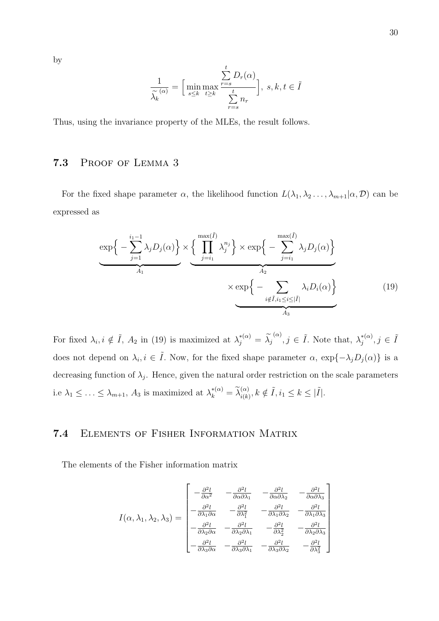by

$$
\frac{1}{\widetilde{\lambda_k}^{(\alpha)}} = \Big[\min_{s \leq k} \max_{t \geq k} \frac{\sum_{r=s}^{t} D_r(\alpha)}{\sum_{r=s}^{t} n_r}\Big], s, k, t \in \widetilde{I}
$$

Thus, using the invariance property of the MLEs, the result follows.

## 7.3 Proof of Lemma 3

For the fixed shape parameter  $\alpha$ , the likelihood function  $L(\lambda_1, \lambda_2, \ldots, \lambda_{m+1} | \alpha, \mathcal{D})$  can be expressed as

$$
\underbrace{\exp\left\{-\sum_{j=1}^{i_1-1} \lambda_j D_j(\alpha)\right\}}_{A_1} \times \underbrace{\left\{\prod_{j=i_1}^{\max(\tilde{I})} \lambda_j^{n_j}\right\}}_{\times \exp\left\{-\sum_{j=i_1}^{\max(\tilde{I})} \lambda_j D_j(\alpha)\right\}}_{i \notin \tilde{I}, i_1 \leq i \leq |\tilde{I}|}
$$
(19)

For fixed  $\lambda_i, i \notin \tilde{I}$ ,  $A_2$  in (19) is maximized at  $\lambda_j^{*(\alpha)} = \tilde{\lambda_j}^{(\alpha)}$ ,  $j \in \tilde{I}$ . Note that,  $\lambda_j^{*(\alpha)}$  $j^{*(\alpha)}, j \in \tilde{I}$ does not depend on  $\lambda_i, i \in \tilde{I}$ . Now, for the fixed shape parameter  $\alpha$ ,  $\exp\{-\lambda_j D_j(\alpha)\}\$ is a decreasing function of  $\lambda_j$ . Hence, given the natural order restriction on the scale parameters i.e  $\lambda_1 \leq \ldots \leq \lambda_{m+1}$ ,  $A_3$  is maximized at  $\lambda_k^{*(\alpha)} = \tilde{\lambda}_{i(k)}^{(\alpha)}$ ,  $k \notin \tilde{I}$ ,  $i_1 \leq k \leq |\tilde{I}|$ .

## 7.4 Elements of Fisher Information Matrix

The elements of the Fisher information matrix

$$
I(\alpha, \lambda_1, \lambda_2, \lambda_3) = \begin{bmatrix} -\frac{\partial^2 l}{\partial \alpha^2} & -\frac{\partial^2 l}{\partial \alpha \partial \lambda_1} & -\frac{\partial^2 l}{\partial \alpha \partial \lambda_2} & -\frac{\partial^2 l}{\partial \alpha \partial \lambda_3} \\ -\frac{\partial^2 l}{\partial \lambda_1 \partial \alpha} & -\frac{\partial^2 l}{\partial \lambda_1^2} & -\frac{\partial^2 l}{\partial \lambda_1 \partial \lambda_2} & -\frac{\partial^2 l}{\partial \lambda_1 \partial \lambda_3} \\ -\frac{\partial^2 l}{\partial \lambda_2 \partial \alpha} & -\frac{\partial^2 l}{\partial \lambda_2 \partial \lambda_1} & -\frac{\partial^2 l}{\partial \lambda_2^2} & -\frac{\partial^2 l}{\partial \lambda_2 \partial \lambda_3} \\ -\frac{\partial^2 l}{\partial \lambda_3 \partial \alpha} & -\frac{\partial^2 l}{\partial \lambda_3 \partial \lambda_1} & -\frac{\partial^2 l}{\partial \lambda_3 \partial \lambda_2} & -\frac{\partial^2 l}{\partial \lambda_3^2} \end{bmatrix}
$$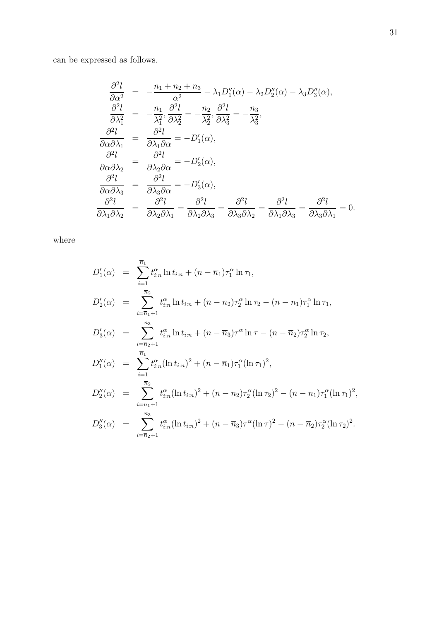can be expressed as follows.

$$
\frac{\partial^2 l}{\partial \alpha^2} = -\frac{n_1 + n_2 + n_3}{\alpha^2} - \lambda_1 D_1''(\alpha) - \lambda_2 D_2''(\alpha) - \lambda_3 D_3''(\alpha),
$$
  
\n
$$
\frac{\partial^2 l}{\partial \lambda_1^2} = -\frac{n_1}{\lambda_1^2}, \frac{\partial^2 l}{\partial \lambda_2^2} = -\frac{n_2}{\lambda_2^2}, \frac{\partial^2 l}{\partial \lambda_3^2} = -\frac{n_3}{\lambda_3^2},
$$
  
\n
$$
\frac{\partial^2 l}{\partial \alpha \partial \lambda_1} = \frac{\partial^2 l}{\partial \lambda_1 \partial \alpha} = -D_1'(\alpha),
$$
  
\n
$$
\frac{\partial^2 l}{\partial \alpha \partial \lambda_2} = \frac{\partial^2 l}{\partial \lambda_2 \partial \alpha} = -D_2'(\alpha),
$$
  
\n
$$
\frac{\partial^2 l}{\partial \alpha \partial \lambda_3} = \frac{\partial^2 l}{\partial \lambda_3 \partial \alpha} = -D_3'(\alpha),
$$
  
\n
$$
\frac{\partial^2 l}{\partial \lambda_1 \partial \lambda_2} = \frac{\partial^2 l}{\partial \lambda_2 \partial \lambda_1} = \frac{\partial^2 l}{\partial \lambda_2 \partial \lambda_3} = \frac{\partial^2 l}{\partial \lambda_3 \partial \lambda_2} = \frac{\partial^2 l}{\partial \lambda_1 \partial \lambda_3} = \frac{\partial^2 l}{\partial \lambda_3 \partial \lambda_1} = 0.
$$

where

$$
D'_{1}(\alpha) = \sum_{i=1}^{\overline{n}_{1}} t_{i:n}^{\alpha} \ln t_{i:n} + (n - \overline{n}_{1}) \tau_{1}^{\alpha} \ln \tau_{1},
$$
  
\n
$$
D'_{2}(\alpha) = \sum_{i=\overline{n}_{1}+1}^{\overline{n}_{2}} t_{i:n}^{\alpha} \ln t_{i:n} + (n - \overline{n}_{2}) \tau_{2}^{\alpha} \ln \tau_{2} - (n - \overline{n}_{1}) \tau_{1}^{\alpha} \ln \tau_{1},
$$
  
\n
$$
D'_{3}(\alpha) = \sum_{i=\overline{n}_{2}+1}^{\overline{n}_{3}} t_{i:n}^{\alpha} \ln t_{i:n} + (n - \overline{n}_{3}) \tau^{\alpha} \ln \tau - (n - \overline{n}_{2}) \tau_{2}^{\alpha} \ln \tau_{2},
$$
  
\n
$$
D''_{1}(\alpha) = \sum_{i=1}^{\overline{n}_{1}} t_{i:n}^{\alpha} (\ln t_{i:n})^{2} + (n - \overline{n}_{1}) \tau_{1}^{\alpha} (\ln \tau_{1})^{2},
$$
  
\n
$$
D''_{2}(\alpha) = \sum_{i=\overline{n}_{1}+1}^{\overline{n}_{2}} t_{i:n}^{\alpha} (\ln t_{i:n})^{2} + (n - \overline{n}_{2}) \tau_{2}^{\alpha} (\ln \tau_{2})^{2} - (n - \overline{n}_{1}) \tau_{1}^{\alpha} (\ln \tau_{1})^{2},
$$
  
\n
$$
D''_{3}(\alpha) = \sum_{i=\overline{n}_{2}+1}^{\overline{n}_{3}} t_{i:n}^{\alpha} (\ln t_{i:n})^{2} + (n - \overline{n}_{3}) \tau^{\alpha} (\ln \tau)^{2} - (n - \overline{n}_{2}) \tau_{2}^{\alpha} (\ln \tau_{2})^{2}.
$$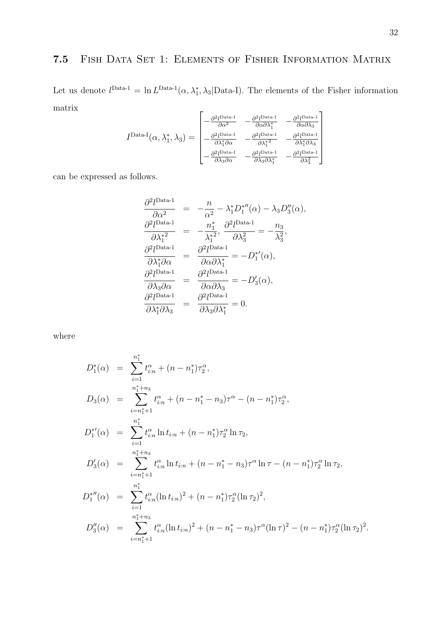# 7.5 Fish Data Set 1: Elements of Fisher Information Matrix

Let us denote  $l<sup>Data-1</sup> = \ln L<sup>Data-1</sup>(\alpha, \lambda_1^*, \lambda_3 | Data-I)$ . The elements of the Fisher information matrix  $\mathsf{r}$  $\overline{1}$ 

$$
I^{\text{Data-I}}(\alpha, \lambda_1^*, \lambda_3) = \begin{bmatrix} -\frac{\partial^2 l^{\text{Data-1}}}{\partial \alpha^2} & -\frac{\partial^2 l^{\text{Data-1}}}{\partial \alpha \partial \lambda_1^*} & -\frac{\partial^2 l^{\text{Data-1}}}{\partial \alpha \partial \lambda_3} \\ -\frac{\partial^2 l^{\text{Data-1}}}{\partial \lambda_1^* \partial \alpha} & -\frac{\partial^2 l^{\text{Data-1}}}{\partial \lambda_1^*^2} & -\frac{\partial^2 l^{\text{Data-1}}}{\partial \lambda_1^* \partial \lambda_3} \\ -\frac{\partial^2 l^{\text{Data-1}}}{\partial \lambda_3 \partial \alpha} & -\frac{\partial^2 l^{\text{Data-1}}}{\partial \lambda_3 \partial \lambda_1^*} & -\frac{\partial^2 l^{\text{Data-1}}}{\partial \lambda_3^2} \end{bmatrix}
$$

can be expressed as follows.

$$
\frac{\partial^2 l^{Data-1}}{\partial \alpha^2} = -\frac{n}{\alpha^2} - \lambda_1^* D_1^{*\prime\prime}(\alpha) - \lambda_3 D_3^{\prime\prime}(\alpha),
$$
  
\n
$$
\frac{\partial^2 l^{Data-1}}{\partial \lambda_1^{*2}} = -\frac{n_1^*}{\lambda_1^{*2}}, \frac{\partial^2 l^{Data-1}}{\partial \lambda_3^2} = -\frac{n_3}{\lambda_3^2},
$$
  
\n
$$
\frac{\partial^2 l^{Data-1}}{\partial \lambda_1^* \partial \alpha} = \frac{\partial^2 l^{Data-1}}{\partial \alpha \partial \lambda_1^*} = -D_1^{*\prime}(\alpha),
$$
  
\n
$$
\frac{\partial^2 l^{Data-1}}{\partial \lambda_3 \partial \alpha} = \frac{\partial^2 l^{Data-1}}{\partial \alpha \partial \lambda_3} = -D_3^{\prime}(\alpha),
$$
  
\n
$$
\frac{\partial^2 l^{Data-1}}{\partial \lambda_1^* \partial \lambda_3} = \frac{\partial^2 l^{Data-1}}{\partial \lambda_3 \partial \lambda_1^*} = 0.
$$

where

$$
D_1^*(\alpha) = \sum_{i=1}^{n_1^*} t_{i:n}^{\alpha} + (n - n_1^*)\tau_2^{\alpha},
$$
  
\n
$$
D_3(\alpha) = \sum_{i=n_1^*+1}^{n_1^*+n_3} t_{i:n}^{\alpha} + (n - n_1^* - n_3)\tau^{\alpha} - (n - n_1^*)\tau_2^{\alpha},
$$
  
\n
$$
D_1^{*'}(\alpha) = \sum_{i=1}^{n_1^*} t_{i:n}^{\alpha} \ln t_{i:n} + (n - n_1^*)\tau_2^{\alpha} \ln \tau_2,
$$
  
\n
$$
D_3'(\alpha) = \sum_{i=n_1^*+1}^{n_1^*+n_3} t_{i:n}^{\alpha} \ln t_{i:n} + (n - n_1^* - n_3)\tau^{\alpha} \ln \tau - (n - n_1^*)\tau_2^{\alpha} \ln \tau_2,
$$
  
\n
$$
D_1^{*''}(\alpha) = \sum_{i=1}^{n_1^*} t_{i:n}^{\alpha} (\ln t_{i:n})^2 + (n - n_1^*)\tau_2^{\alpha} (\ln \tau_2)^2,
$$
  
\n
$$
D_3''(\alpha) = \sum_{i=n_1^*+1}^{n_1^*+n_3} t_{i:n}^{\alpha} (\ln t_{i:n})^2 + (n - n_1^* - n_3)\tau^{\alpha} (\ln \tau)^2 - (n - n_1^*)\tau_2^{\alpha} (\ln \tau_2)^2.
$$